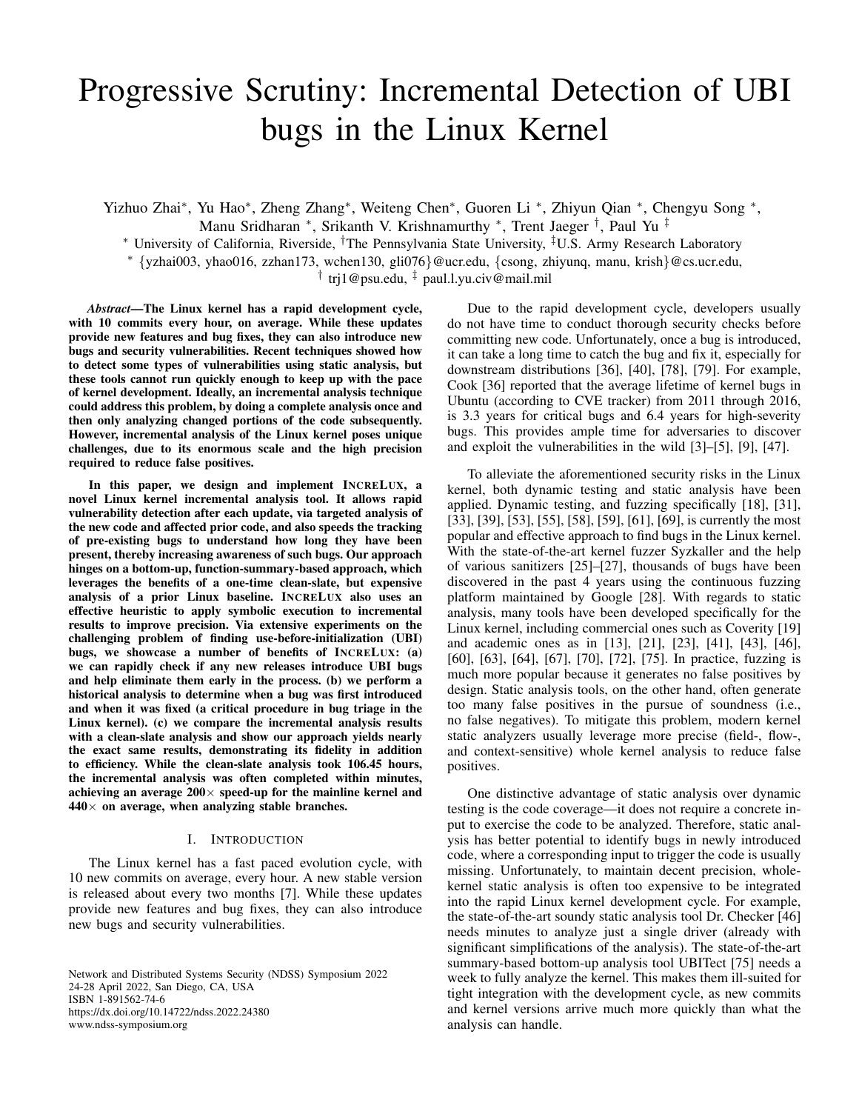# Progressive Scrutiny: Incremental Detection of UBI bugs in the Linux Kernel

Yizhuo Zhai\*, Yu Hao\*, Zheng Zhang\*, Weiteng Chen\*, Guoren Li \*, Zhiyun Qian \*, Chengyu Song \*, Manu Sridharan \*, Srikanth V. Krishnamurthy \*, Trent Jaeger <sup>†</sup>, Paul Yu <sup>‡</sup>

<sup>∗</sup> University of California, Riverside, †The Pennsylvania State University, ‡U.S. Army Research Laboratory

<sup>∗</sup> {yzhai003, yhao016, zzhan173, wchen130, gli076}@ucr.edu, {csong, zhiyunq, manu, krish}@cs.ucr.edu,

† trj1@psu.edu, ‡ paul.l.yu.civ@mail.mil

*Abstract*—The Linux kernel has a rapid development cycle, with 10 commits every hour, on average. While these updates provide new features and bug fixes, they can also introduce new bugs and security vulnerabilities. Recent techniques showed how to detect some types of vulnerabilities using static analysis, but these tools cannot run quickly enough to keep up with the pace of kernel development. Ideally, an incremental analysis technique could address this problem, by doing a complete analysis once and then only analyzing changed portions of the code subsequently. However, incremental analysis of the Linux kernel poses unique challenges, due to its enormous scale and the high precision required to reduce false positives.

In this paper, we design and implement INCRELUX, a novel Linux kernel incremental analysis tool. It allows rapid vulnerability detection after each update, via targeted analysis of the new code and affected prior code, and also speeds the tracking of pre-existing bugs to understand how long they have been present, thereby increasing awareness of such bugs. Our approach hinges on a bottom-up, function-summary-based approach, which leverages the benefits of a one-time clean-slate, but expensive analysis of a prior Linux baseline. INCRELUX also uses an effective heuristic to apply symbolic execution to incremental results to improve precision. Via extensive experiments on the challenging problem of finding use-before-initialization (UBI) bugs, we showcase a number of benefits of INCRELUX: (a) we can rapidly check if any new releases introduce UBI bugs and help eliminate them early in the process. (b) we perform a historical analysis to determine when a bug was first introduced and when it was fixed (a critical procedure in bug triage in the Linux kernel). (c) we compare the incremental analysis results with a clean-slate analysis and show our approach yields nearly the exact same results, demonstrating its fidelity in addition to efficiency. While the clean-slate analysis took 106.45 hours, the incremental analysis was often completed within minutes, achieving an average  $200 \times$  speed-up for the mainline kernel and  $440\times$  on average, when analyzing stable branches.

#### I. INTRODUCTION

<span id="page-0-0"></span>The Linux kernel has a fast paced evolution cycle, with 10 new commits on average, every hour. A new stable version is released about every two months [\[7\]](#page-14-0). While these updates provide new features and bug fixes, they can also introduce new bugs and security vulnerabilities.

Network and Distributed Systems Security (NDSS) Symposium 2022 24-28 April 2022, San Diego, CA, USA ISBN 1-891562-74-6 https://dx.doi.org/10.14722/ndss.2022.24380 www.ndss-symposium.org

Due to the rapid development cycle, developers usually do not have time to conduct thorough security checks before committing new code. Unfortunately, once a bug is introduced, it can take a long time to catch the bug and fix it, especially for downstream distributions [\[36\]](#page-14-1), [\[40\]](#page-14-2), [\[78\]](#page-15-0), [\[79\]](#page-15-1). For example, Cook [\[36\]](#page-14-1) reported that the average lifetime of kernel bugs in Ubuntu (according to CVE tracker) from 2011 through 2016, is 3.3 years for critical bugs and 6.4 years for high-severity bugs. This provides ample time for adversaries to discover and exploit the vulnerabilities in the wild [\[3\]](#page-14-3)–[\[5\]](#page-14-4), [\[9\]](#page-14-5), [\[47\]](#page-15-2).

To alleviate the aforementioned security risks in the Linux kernel, both dynamic testing and static analysis have been applied. Dynamic testing, and fuzzing specifically [\[18\]](#page-14-6), [\[31\]](#page-14-7), [\[33\]](#page-14-8), [\[39\]](#page-14-9), [\[53\]](#page-15-3), [\[55\]](#page-15-4), [\[58\]](#page-15-5), [\[59\]](#page-15-6), [\[61\]](#page-15-7), [\[69\]](#page-15-8), is currently the most popular and effective approach to find bugs in the Linux kernel. With the state-of-the-art kernel fuzzer Syzkaller and the help of various sanitizers [\[25\]](#page-14-10)–[\[27\]](#page-14-11), thousands of bugs have been discovered in the past 4 years using the continuous fuzzing platform maintained by Google [\[28\]](#page-14-12). With regards to static analysis, many tools have been developed specifically for the Linux kernel, including commercial ones such as Coverity [\[19\]](#page-14-13) and academic ones as in [\[13\]](#page-14-14), [\[21\]](#page-14-15), [\[23\]](#page-14-16), [\[41\]](#page-14-17), [\[43\]](#page-15-9), [\[46\]](#page-15-10), [\[60\]](#page-15-11), [\[63\]](#page-15-12), [\[64\]](#page-15-13), [\[67\]](#page-15-14), [\[70\]](#page-15-15), [\[72\]](#page-15-16), [\[75\]](#page-15-17). In practice, fuzzing is much more popular because it generates no false positives by design. Static analysis tools, on the other hand, often generate too many false positives in the pursue of soundness (i.e., no false negatives). To mitigate this problem, modern kernel static analyzers usually leverage more precise (field-, flow-, and context-sensitive) whole kernel analysis to reduce false positives.

One distinctive advantage of static analysis over dynamic testing is the code coverage—it does not require a concrete input to exercise the code to be analyzed. Therefore, static analysis has better potential to identify bugs in newly introduced code, where a corresponding input to trigger the code is usually missing. Unfortunately, to maintain decent precision, wholekernel static analysis is often too expensive to be integrated into the rapid Linux kernel development cycle. For example, the state-of-the-art soundy static analysis tool Dr. Checker [\[46\]](#page-15-10) needs minutes to analyze just a single driver (already with significant simplifications of the analysis). The state-of-the-art summary-based bottom-up analysis tool UBITect [\[75\]](#page-15-17) needs a week to fully analyze the kernel. This makes them ill-suited for tight integration with the development cycle, as new commits and kernel versions arrive much more quickly than what the analysis can handle.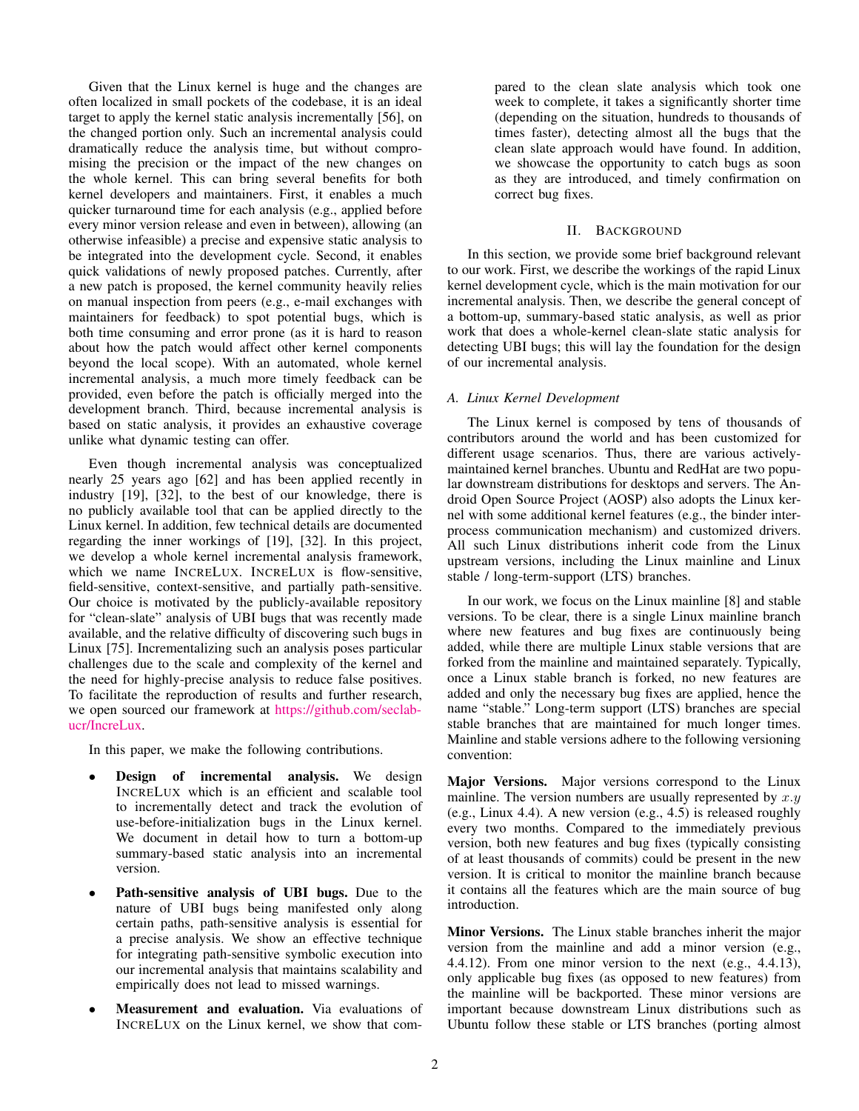Given that the Linux kernel is huge and the changes are often localized in small pockets of the codebase, it is an ideal target to apply the kernel static analysis incrementally [\[56\]](#page-15-18), on the changed portion only. Such an incremental analysis could dramatically reduce the analysis time, but without compromising the precision or the impact of the new changes on the whole kernel. This can bring several benefits for both kernel developers and maintainers. First, it enables a much quicker turnaround time for each analysis (e.g., applied before every minor version release and even in between), allowing (an otherwise infeasible) a precise and expensive static analysis to be integrated into the development cycle. Second, it enables quick validations of newly proposed patches. Currently, after a new patch is proposed, the kernel community heavily relies on manual inspection from peers (e.g., e-mail exchanges with maintainers for feedback) to spot potential bugs, which is both time consuming and error prone (as it is hard to reason about how the patch would affect other kernel components beyond the local scope). With an automated, whole kernel incremental analysis, a much more timely feedback can be provided, even before the patch is officially merged into the development branch. Third, because incremental analysis is based on static analysis, it provides an exhaustive coverage unlike what dynamic testing can offer.

Even though incremental analysis was conceptualized nearly 25 years ago [\[62\]](#page-15-19) and has been applied recently in industry [\[19\]](#page-14-13), [\[32\]](#page-14-18), to the best of our knowledge, there is no publicly available tool that can be applied directly to the Linux kernel. In addition, few technical details are documented regarding the inner workings of [\[19\]](#page-14-13), [\[32\]](#page-14-18). In this project, we develop a whole kernel incremental analysis framework, which we name INCRELUX. INCRELUX is flow-sensitive, field-sensitive, context-sensitive, and partially path-sensitive. Our choice is motivated by the publicly-available repository for "clean-slate" analysis of UBI bugs that was recently made available, and the relative difficulty of discovering such bugs in Linux [\[75\]](#page-15-17). Incrementalizing such an analysis poses particular challenges due to the scale and complexity of the kernel and the need for highly-precise analysis to reduce false positives. To facilitate the reproduction of results and further research, we open sourced our framework at [https://github.com/seclab](https://github.com/seclab-ucr/IncreLux)[ucr/IncreLux.](https://github.com/seclab-ucr/IncreLux)

In this paper, we make the following contributions.

- **Design of incremental analysis.** We design INCRELUX which is an efficient and scalable tool to incrementally detect and track the evolution of use-before-initialization bugs in the Linux kernel. We document in detail how to turn a bottom-up summary-based static analysis into an incremental version.
- Path-sensitive analysis of UBI bugs. Due to the nature of UBI bugs being manifested only along certain paths, path-sensitive analysis is essential for a precise analysis. We show an effective technique for integrating path-sensitive symbolic execution into our incremental analysis that maintains scalability and empirically does not lead to missed warnings.
- Measurement and evaluation. Via evaluations of INCRELUX on the Linux kernel, we show that com-

pared to the clean slate analysis which took one week to complete, it takes a significantly shorter time (depending on the situation, hundreds to thousands of times faster), detecting almost all the bugs that the clean slate approach would have found. In addition, we showcase the opportunity to catch bugs as soon as they are introduced, and timely confirmation on correct bug fixes.

# II. BACKGROUND

<span id="page-1-0"></span>In this section, we provide some brief background relevant to our work. First, we describe the workings of the rapid Linux kernel development cycle, which is the main motivation for our incremental analysis. Then, we describe the general concept of a bottom-up, summary-based static analysis, as well as prior work that does a whole-kernel clean-slate static analysis for detecting UBI bugs; this will lay the foundation for the design of our incremental analysis.

# <span id="page-1-1"></span>*A. Linux Kernel Development*

The Linux kernel is composed by tens of thousands of contributors around the world and has been customized for different usage scenarios. Thus, there are various activelymaintained kernel branches. Ubuntu and RedHat are two popular downstream distributions for desktops and servers. The Android Open Source Project (AOSP) also adopts the Linux kernel with some additional kernel features (e.g., the binder interprocess communication mechanism) and customized drivers. All such Linux distributions inherit code from the Linux upstream versions, including the Linux mainline and Linux stable / long-term-support (LTS) branches.

In our work, we focus on the Linux mainline [\[8\]](#page-14-19) and stable versions. To be clear, there is a single Linux mainline branch where new features and bug fixes are continuously being added, while there are multiple Linux stable versions that are forked from the mainline and maintained separately. Typically, once a Linux stable branch is forked, no new features are added and only the necessary bug fixes are applied, hence the name "stable." Long-term support (LTS) branches are special stable branches that are maintained for much longer times. Mainline and stable versions adhere to the following versioning convention:

Major Versions. Major versions correspond to the Linux mainline. The version numbers are usually represented by  $x \cdot y$ (e.g., Linux 4.4). A new version (e.g., 4.5) is released roughly every two months. Compared to the immediately previous version, both new features and bug fixes (typically consisting of at least thousands of commits) could be present in the new version. It is critical to monitor the mainline branch because it contains all the features which are the main source of bug introduction.

Minor Versions. The Linux stable branches inherit the major version from the mainline and add a minor version (e.g., 4.4.12). From one minor version to the next (e.g., 4.4.13), only applicable bug fixes (as opposed to new features) from the mainline will be backported. These minor versions are important because downstream Linux distributions such as Ubuntu follow these stable or LTS branches (porting almost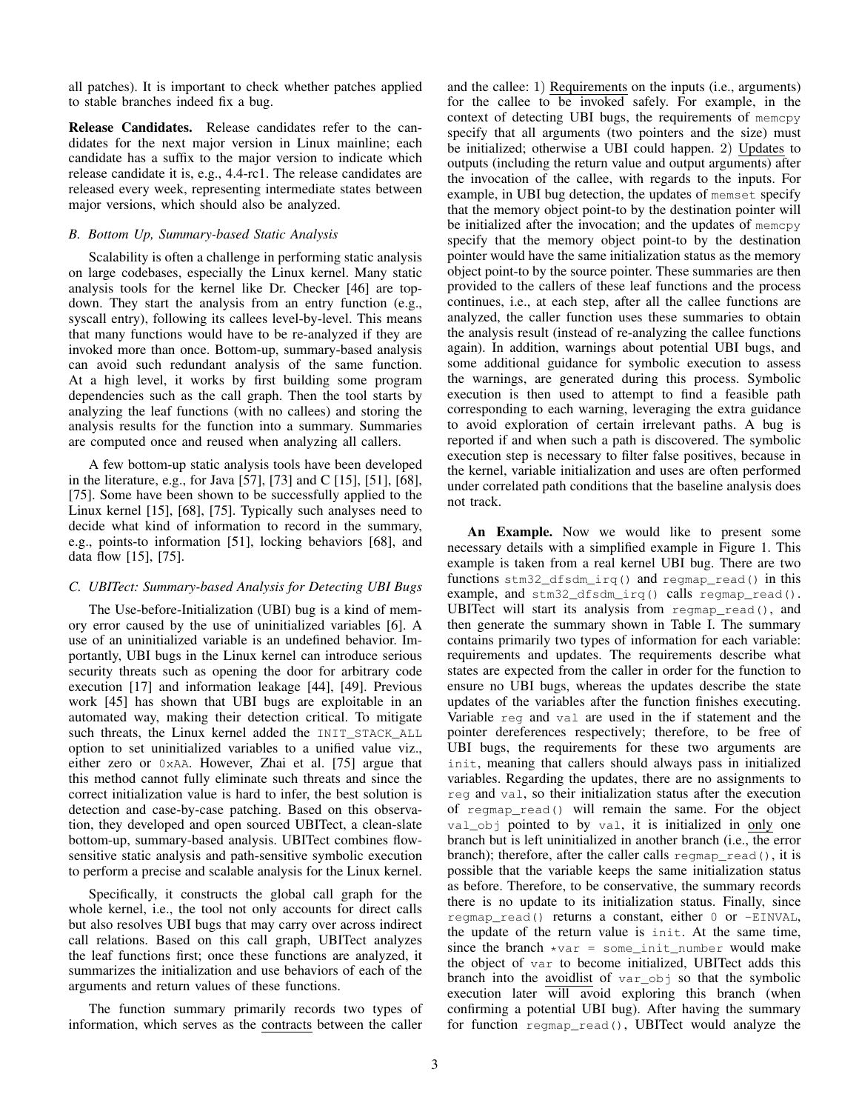all patches). It is important to check whether patches applied to stable branches indeed fix a bug.

Release Candidates. Release candidates refer to the candidates for the next major version in Linux mainline; each candidate has a suffix to the major version to indicate which release candidate it is, e.g., 4.4-rc1. The release candidates are released every week, representing intermediate states between major versions, which should also be analyzed.

## <span id="page-2-1"></span>*B. Bottom Up, Summary-based Static Analysis*

Scalability is often a challenge in performing static analysis on large codebases, especially the Linux kernel. Many static analysis tools for the kernel like Dr. Checker [\[46\]](#page-15-10) are topdown. They start the analysis from an entry function (e.g., syscall entry), following its callees level-by-level. This means that many functions would have to be re-analyzed if they are invoked more than once. Bottom-up, summary-based analysis can avoid such redundant analysis of the same function. At a high level, it works by first building some program dependencies such as the call graph. Then the tool starts by analyzing the leaf functions (with no callees) and storing the analysis results for the function into a summary. Summaries are computed once and reused when analyzing all callers.

A few bottom-up static analysis tools have been developed in the literature, e.g., for Java [\[57\]](#page-15-20), [\[73\]](#page-15-21) and C [\[15\]](#page-14-20), [\[51\]](#page-15-22), [\[68\]](#page-15-23), [\[75\]](#page-15-17). Some have been shown to be successfully applied to the Linux kernel [\[15\]](#page-14-20), [\[68\]](#page-15-23), [\[75\]](#page-15-17). Typically such analyses need to decide what kind of information to record in the summary, e.g., points-to information [\[51\]](#page-15-22), locking behaviors [\[68\]](#page-15-23), and data flow [\[15\]](#page-14-20), [\[75\]](#page-15-17).

# <span id="page-2-0"></span>*C. UBITect: Summary-based Analysis for Detecting UBI Bugs*

The Use-before-Initialization (UBI) bug is a kind of memory error caused by the use of uninitialized variables [\[6\]](#page-14-21). A use of an uninitialized variable is an undefined behavior. Importantly, UBI bugs in the Linux kernel can introduce serious security threats such as opening the door for arbitrary code execution [\[17\]](#page-14-22) and information leakage [\[44\]](#page-15-24), [\[49\]](#page-15-25). Previous work [\[45\]](#page-15-26) has shown that UBI bugs are exploitable in an automated way, making their detection critical. To mitigate such threats, the Linux kernel added the INIT\_STACK\_ALL option to set uninitialized variables to a unified value viz., either zero or 0xAA. However, Zhai et al. [\[75\]](#page-15-17) argue that this method cannot fully eliminate such threats and since the correct initialization value is hard to infer, the best solution is detection and case-by-case patching. Based on this observation, they developed and open sourced UBITect, a clean-slate bottom-up, summary-based analysis. UBITect combines flowsensitive static analysis and path-sensitive symbolic execution to perform a precise and scalable analysis for the Linux kernel.

Specifically, it constructs the global call graph for the whole kernel, i.e., the tool not only accounts for direct calls but also resolves UBI bugs that may carry over across indirect call relations. Based on this call graph, UBITect analyzes the leaf functions first; once these functions are analyzed, it summarizes the initialization and use behaviors of each of the arguments and return values of these functions.

The function summary primarily records two types of information, which serves as the contracts between the caller and the callee: 1) Requirements on the inputs (i.e., arguments) for the callee to be invoked safely. For example, in the context of detecting UBI bugs, the requirements of memcpy specify that all arguments (two pointers and the size) must be initialized; otherwise a UBI could happen. 2) Updates to outputs (including the return value and output arguments) after the invocation of the callee, with regards to the inputs. For example, in UBI bug detection, the updates of memset specify that the memory object point-to by the destination pointer will be initialized after the invocation; and the updates of memcpy specify that the memory object point-to by the destination pointer would have the same initialization status as the memory object point-to by the source pointer. These summaries are then provided to the callers of these leaf functions and the process continues, i.e., at each step, after all the callee functions are analyzed, the caller function uses these summaries to obtain the analysis result (instead of re-analyzing the callee functions again). In addition, warnings about potential UBI bugs, and some additional guidance for symbolic execution to assess the warnings, are generated during this process. Symbolic execution is then used to attempt to find a feasible path corresponding to each warning, leveraging the extra guidance to avoid exploration of certain irrelevant paths. A bug is reported if and when such a path is discovered. The symbolic execution step is necessary to filter false positives, because in the kernel, variable initialization and uses are often performed under correlated path conditions that the baseline analysis does not track.

An Example. Now we would like to present some necessary details with a simplified example in [Figure 1.](#page-3-0) This example is taken from a real kernel UBI bug. There are two functions stm32\_dfsdm\_irq() and regmap\_read() in this example, and stm32\_dfsdm\_irq() calls regmap\_read(). UBITect will start its analysis from regmap\_read(), and then generate the summary shown in [Table I.](#page-3-1) The summary contains primarily two types of information for each variable: requirements and updates. The requirements describe what states are expected from the caller in order for the function to ensure no UBI bugs, whereas the updates describe the state updates of the variables after the function finishes executing. Variable reg and val are used in the if statement and the pointer dereferences respectively; therefore, to be free of UBI bugs, the requirements for these two arguments are init, meaning that callers should always pass in initialized variables. Regarding the updates, there are no assignments to reg and val, so their initialization status after the execution of regmap\_read() will remain the same. For the object val\_obj pointed to by val, it is initialized in only one branch but is left uninitialized in another branch (i.e., the error branch); therefore, after the caller calls regmap\_read(), it is possible that the variable keeps the same initialization status as before. Therefore, to be conservative, the summary records there is no update to its initialization status. Finally, since regmap\_read() returns a constant, either 0 or -EINVAL, the update of the return value is init. At the same time, since the branch  $*var = some\_init\_number$  would make the object of var to become initialized, UBITect adds this branch into the avoidlist of var\_obj so that the symbolic execution later will avoid exploring this branch (when confirming a potential UBI bug). After having the summary for function regmap\_read(), UBITect would analyze the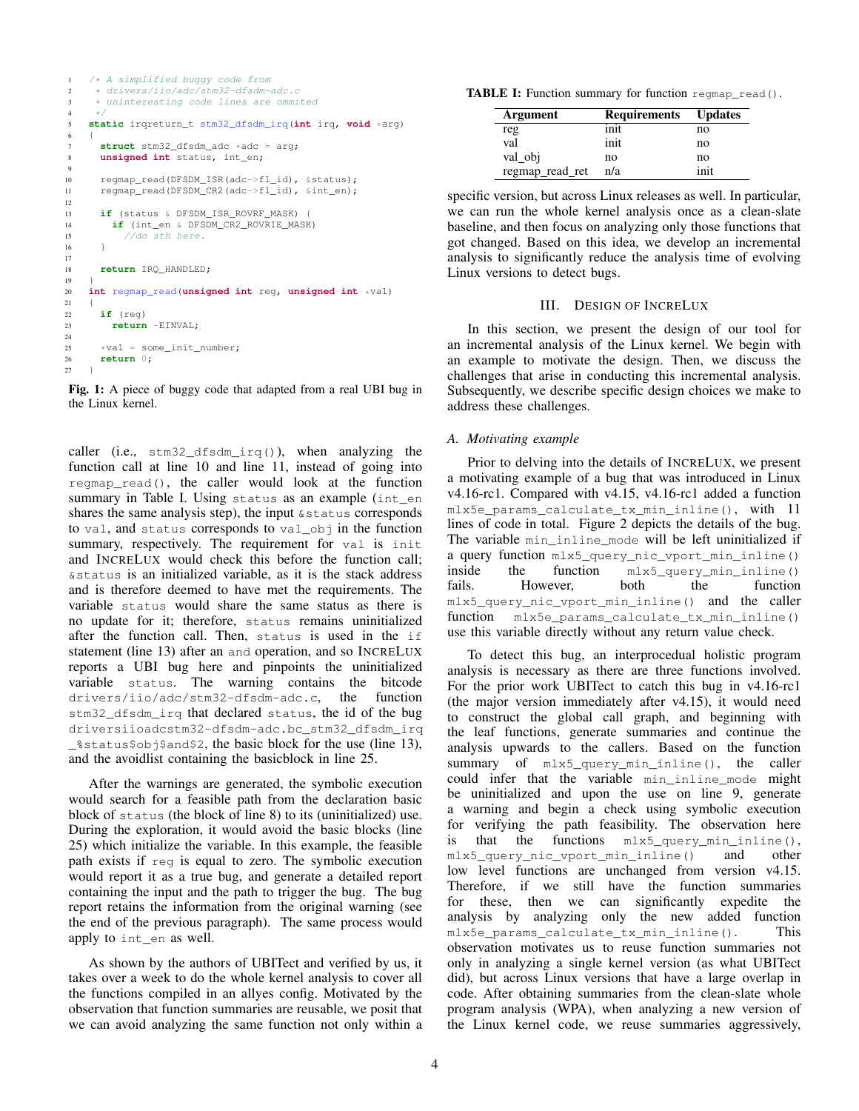```
1 /* A simplified buggy code from<br>2 * drivers/iio/adc/stm32-dfsdm-
2 * drivers/iio/adc/stm32-dfsdm-adc.c
3 * uninteresting code lines are ommited<br>4 */
      *5 static irqreturn_t stm32_dfsdm_irq(int irq, void *arg)
6 {
7 struct stm32_dfsdm_adc *adc = arg;<br>8 unsigned int status, int en:
       8 unsigned int status, int_en;
\theta10 regmap_read(DFSDM_ISR(adc->fl_id), &status);
11 regmap read(DFSDM_CR2(adc->fl_id), &int_en);
12
13 if (status & DFSDM_ISR_ROVRF_MASK) {
14 if (int_en & DFSDM_CR2_ROVRIE_MASK)
15 //do sth here.
16 }
17
18 return IRQ_HANDLED;
19 }
20 int regmap_read(unsigned int reg, unsigned int *val)
21 \left\{\n \begin{array}{c}\n 22\n \end{array}\n \right.if (reg)
23 return -EINVAL;
24
25 *val = some\_init\_number;<br>26 return 0:
       26 return 0;
27 }
```
Fig. 1: A piece of buggy code that adapted from a real UBI bug in the Linux kernel.

caller (i.e., stm32\_dfsdm\_irq()), when analyzing the function call at line 10 and line 11, instead of going into regmap\_read(), the caller would look at the function summary in [Table I.](#page-3-1) Using status as an example (int\_en shares the same analysis step), the input &status corresponds to val, and status corresponds to val\_obj in the function summary, respectively. The requirement for val is init and INCRELUX would check this before the function call; &status is an initialized variable, as it is the stack address and is therefore deemed to have met the requirements. The variable status would share the same status as there is no update for it; therefore, status remains uninitialized after the function call. Then, status is used in the if statement (line 13) after an and operation, and so INCRELUX reports a UBI bug here and pinpoints the uninitialized variable status. The warning contains the bitcode drivers/iio/adc/stm32-dfsdm-adc.c, the function stm32\_dfsdm\_irq that declared status, the id of the bug driversiioadcstm32-dfsdm-adc.bc\_stm32\_dfsdm\_irq  $\frac{1}{2}$ status $\frac{1}{2}$ obj $\frac{2}{3}$ , the basic block for the use (line 13), and the avoidlist containing the basicblock in line 25.

After the warnings are generated, the symbolic execution would search for a feasible path from the declaration basic block of status (the block of line 8) to its (uninitialized) use. During the exploration, it would avoid the basic blocks (line 25) which initialize the variable. In this example, the feasible path exists if reg is equal to zero. The symbolic execution would report it as a true bug, and generate a detailed report containing the input and the path to trigger the bug. The bug report retains the information from the original warning (see the end of the previous paragraph). The same process would apply to int\_en as well.

As shown by the authors of UBITect and verified by us, it takes over a week to do the whole kernel analysis to cover all the functions compiled in an allyes config. Motivated by the observation that function summaries are reusable, we posit that we can avoid analyzing the same function not only within a

<span id="page-3-1"></span>TABLE I: Function summary for function regmap read().

| Argument        | <b>Requirements</b> | <b>Updates</b> |
|-----------------|---------------------|----------------|
| reg             | init                | no             |
| val             | init                | no             |
| val obj         | no                  | no             |
| regmap_read_ret | n/a                 | init           |

specific version, but across Linux releases as well. In particular, we can run the whole kernel analysis once as a clean-slate baseline, and then focus on analyzing only those functions that got changed. Based on this idea, we develop an incremental analysis to significantly reduce the analysis time of evolving Linux versions to detect bugs.

#### III. DESIGN OF INCRELUX

<span id="page-3-2"></span>In this section, we present the design of our tool for an incremental analysis of the Linux kernel. We begin with an example to motivate the design. Then, we discuss the challenges that arise in conducting this incremental analysis. Subsequently, we describe specific design choices we make to address these challenges.

## *A. Motivating example*

Prior to delving into the details of INCRELUX, we present a motivating example of a bug that was introduced in Linux v4.16-rc1. Compared with v4.15, v4.16-rc1 added a function mlx5e\_params\_calculate\_tx\_min\_inline(), with 11 lines of code in total. [Figure 2](#page-4-0) depicts the details of the bug. The variable min\_inline\_mode will be left uninitialized if a query function mlx5\_query\_nic\_vport\_min\_inline() inside the function mlx5\_query\_min\_inline() fails. However, both the function mlx5\_query\_nic\_vport\_min\_inline() and the caller function mlx5e\_params\_calculate\_tx\_min\_inline() use this variable directly without any return value check.

To detect this bug, an interprocedual holistic program analysis is necessary as there are three functions involved. For the prior work UBITect to catch this bug in v4.16-rc1 (the major version immediately after v4.15), it would need to construct the global call graph, and beginning with the leaf functions, generate summaries and continue the analysis upwards to the callers. Based on the function summary of mlx5\_query\_min\_inline(), the caller could infer that the variable min\_inline\_mode might be uninitialized and upon the use on line 9, generate a warning and begin a check using symbolic execution for verifying the path feasibility. The observation here is that the functions mlx5\_query\_min\_inline(), mlx5\_query\_nic\_vport\_min\_inline() and other low level functions are unchanged from version v4.15. Therefore, if we still have the function summaries for these, then we can significantly expedite the analysis by analyzing only the new added function mlx5e\_params\_calculate\_tx\_min\_inline(). This observation motivates us to reuse function summaries not only in analyzing a single kernel version (as what UBITect did), but across Linux versions that have a large overlap in code. After obtaining summaries from the clean-slate whole program analysis (WPA), when analyzing a new version of the Linux kernel code, we reuse summaries aggressively,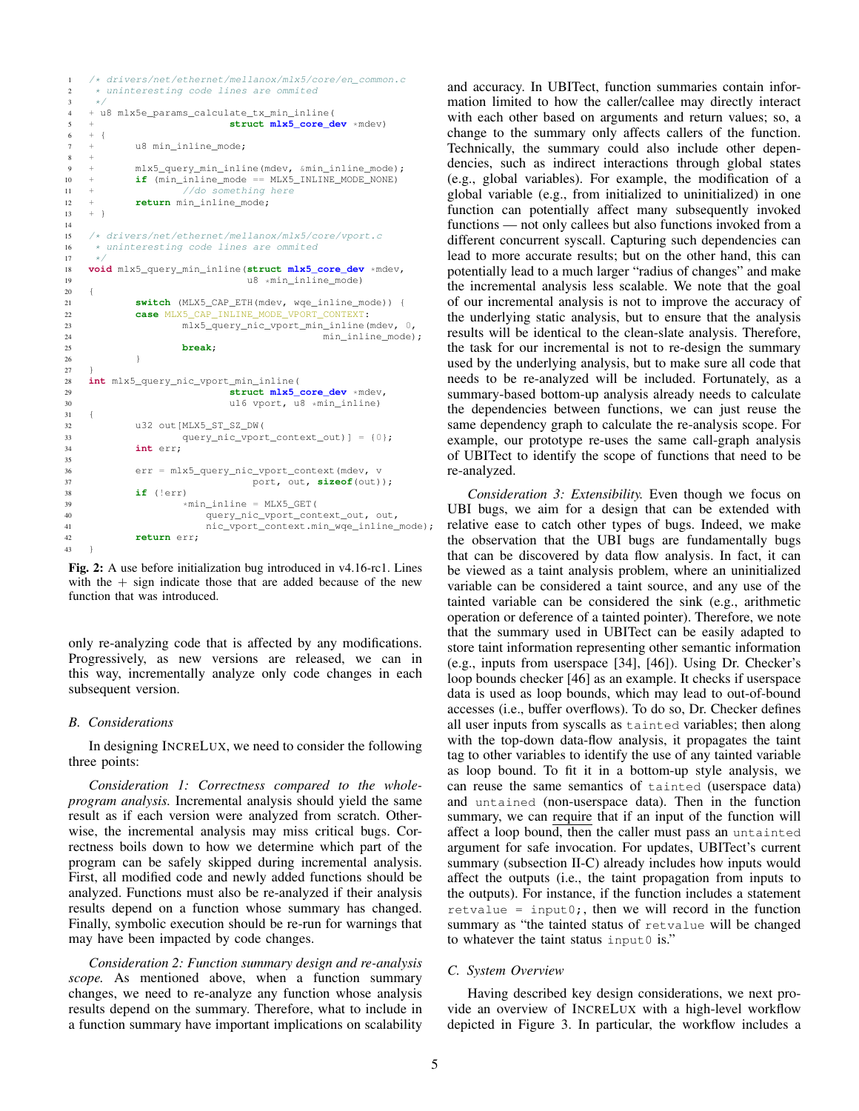```
1 /* drivers/net/ethernet/mellanox/mlx5/core/en_common.c<br>2 * uninteresting code lines are ommited
2 * uninteresting code lines are ommited<br>3 */
\begin{array}{ccc} 3 & & \star/ \\ 4 & + & u \end{array}4 + u8 mlx5e_params_calculate_tx_min_inline(
5 + struct mlx5_core_dev *mdev)<br>6 + {
    +7 + u8 min_inline_mode;
8 +
9 + mlx5_query_min_inline(mdev, &min_inline_mode);
10 + if (min_inline_mode == MLX5_INLINE_MODE_NONE)
11 + /d something here
12 + return min_inline_mode;
13 + }14
15 /* drivers/net/ethernet/mellanox/mlx5/core/vport.c<br>16 * uninteresting code lines are ommited
16 * uninteresting code lines are ommited<br>17 */\begin{array}{ccc} 17 & & \star \end{array}<br>18 voi
18 void mlx5_query_min_inline(struct mlx5_core_dev *mdev,<br>19 10 118 in inline mode)
    19 \starmin_inline_mode)
20 {
21 switch (MLX5_CAP_ETH(mdev, wqe_inline_mode)) {<br>22 case MLX5 CAP INLINE MODE VPORT CONTEXT:
             22 case MLX5_CAP_INLINE_MODE_VPORT_CONTEXT:
23 mlx5_query_nic_vport_min_inline(mdev, 0,
\begin{minipage}{.4\linewidth} 24 & \begin{minipage}{.4\linewidth} \hline \texttt{min}\_ \texttt{mode}; \end{minipage} \end{minipage} \vspace{0.5cm}break;
26 }
27 }
28 int mlx5_query_nic_vport_min_inline(
29 struct mlx5_core_dev *mdev,<br>30 struct mlx5_core_dev *mdinline)
30 u16 vport, u8 *min_inline)
    \overline{1}32 u32 out[MLX5_ST_SZ_DW(33 query nic vport
                      query_nic_vport_context_out)] = {0};
34 int err;
35<br>36
             err = mlx5_query_nic_vport_context(mdev, v
37 port, out, sizeof(out));
38 if (!err)
39 *min\_inline = MLXS\_GET(<br>40 query nic vport cont
                          query_nic_vport_context_out, out,
41 nic_vport_context.min_wqe_inline_mode);
42 return err;
43 }
```
Fig. 2: A use before initialization bug introduced in v4.16-rc1. Lines with the  $+$  sign indicate those that are added because of the new function that was introduced.

only re-analyzing code that is affected by any modifications. Progressively, as new versions are released, we can in this way, incrementally analyze only code changes in each subsequent version.

## <span id="page-4-1"></span>*B. Considerations*

In designing INCRELUX, we need to consider the following three points:

*Consideration 1: Correctness compared to the wholeprogram analysis.* Incremental analysis should yield the same result as if each version were analyzed from scratch. Otherwise, the incremental analysis may miss critical bugs. Correctness boils down to how we determine which part of the program can be safely skipped during incremental analysis. First, all modified code and newly added functions should be analyzed. Functions must also be re-analyzed if their analysis results depend on a function whose summary has changed. Finally, symbolic execution should be re-run for warnings that may have been impacted by code changes.

*Consideration 2: Function summary design and re-analysis scope.* As mentioned above, when a function summary changes, we need to re-analyze any function whose analysis results depend on the summary. Therefore, what to include in a function summary have important implications on scalability

and accuracy. In UBITect, function summaries contain information limited to how the caller/callee may directly interact with each other based on arguments and return values; so, a change to the summary only affects callers of the function. Technically, the summary could also include other dependencies, such as indirect interactions through global states (e.g., global variables). For example, the modification of a global variable (e.g., from initialized to uninitialized) in one function can potentially affect many subsequently invoked functions — not only callees but also functions invoked from a different concurrent syscall. Capturing such dependencies can lead to more accurate results; but on the other hand, this can potentially lead to a much larger "radius of changes" and make the incremental analysis less scalable. We note that the goal of our incremental analysis is not to improve the accuracy of the underlying static analysis, but to ensure that the analysis results will be identical to the clean-slate analysis. Therefore, the task for our incremental is not to re-design the summary used by the underlying analysis, but to make sure all code that needs to be re-analyzed will be included. Fortunately, as a summary-based bottom-up analysis already needs to calculate the dependencies between functions, we can just reuse the same dependency graph to calculate the re-analysis scope. For example, our prototype re-uses the same call-graph analysis of UBITect to identify the scope of functions that need to be re-analyzed.

*Consideration 3: Extensibility.* Even though we focus on UBI bugs, we aim for a design that can be extended with relative ease to catch other types of bugs. Indeed, we make the observation that the UBI bugs are fundamentally bugs that can be discovered by data flow analysis. In fact, it can be viewed as a taint analysis problem, where an uninitialized variable can be considered a taint source, and any use of the tainted variable can be considered the sink (e.g., arithmetic operation or deference of a tainted pointer). Therefore, we note that the summary used in UBITect can be easily adapted to store taint information representing other semantic information (e.g., inputs from userspace [\[34\]](#page-14-23), [\[46\]](#page-15-10)). Using Dr. Checker's loop bounds checker [\[46\]](#page-15-10) as an example. It checks if userspace data is used as loop bounds, which may lead to out-of-bound accesses (i.e., buffer overflows). To do so, Dr. Checker defines all user inputs from syscalls as tainted variables; then along with the top-down data-flow analysis, it propagates the taint tag to other variables to identify the use of any tainted variable as loop bound. To fit it in a bottom-up style analysis, we can reuse the same semantics of tainted (userspace data) and untained (non-userspace data). Then in the function summary, we can require that if an input of the function will affect a loop bound, then the caller must pass an untainted argument for safe invocation. For updates, UBITect's current summary [\(subsection II-C\)](#page-2-0) already includes how inputs would affect the outputs (i.e., the taint propagation from inputs to the outputs). For instance, if the function includes a statement retvalue = input0; then we will record in the function summary as "the tainted status of retvalue will be changed to whatever the taint status input0 is."

#### *C. System Overview*

Having described key design considerations, we next provide an overview of INCRELUX with a high-level workflow depicted in [Figure 3.](#page-6-0) In particular, the workflow includes a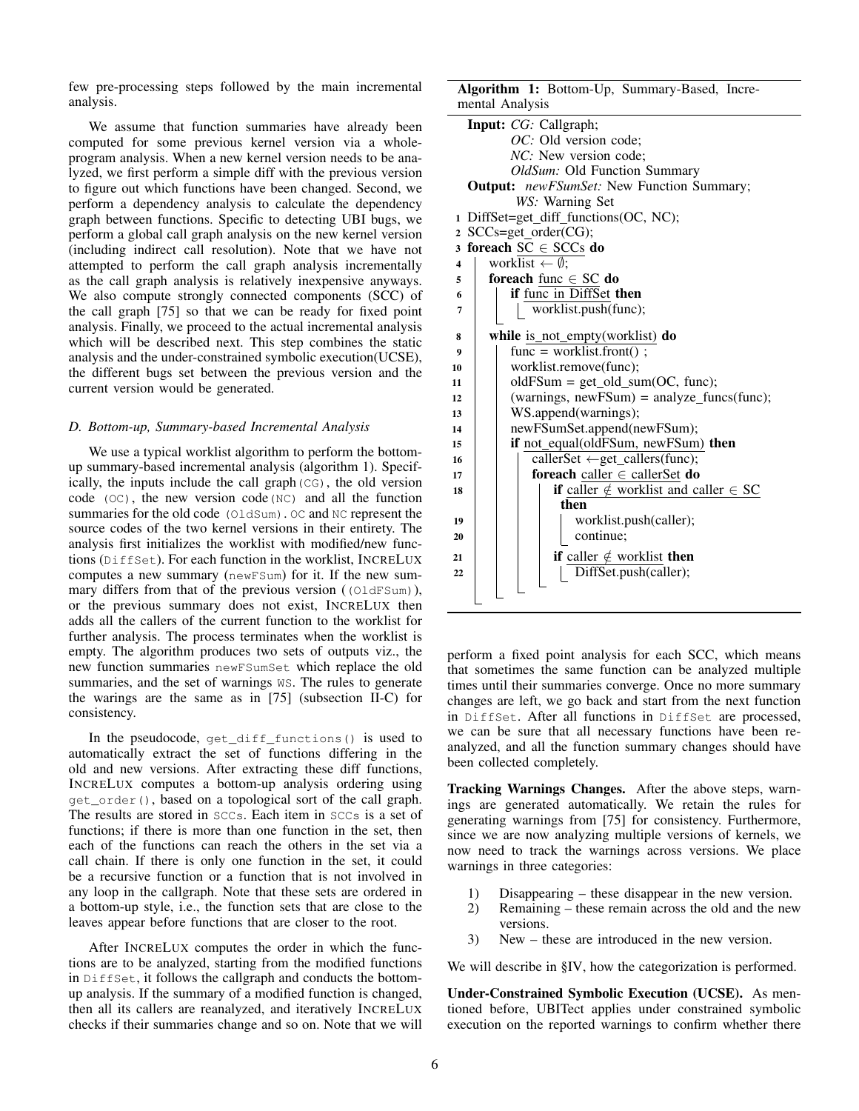few pre-processing steps followed by the main incremental analysis.

We assume that function summaries have already been computed for some previous kernel version via a wholeprogram analysis. When a new kernel version needs to be analyzed, we first perform a simple diff with the previous version to figure out which functions have been changed. Second, we perform a dependency analysis to calculate the dependency graph between functions. Specific to detecting UBI bugs, we perform a global call graph analysis on the new kernel version (including indirect call resolution). Note that we have not attempted to perform the call graph analysis incrementally as the call graph analysis is relatively inexpensive anyways. We also compute strongly connected components (SCC) of the call graph [\[75\]](#page-15-17) so that we can be ready for fixed point analysis. Finally, we proceed to the actual incremental analysis which will be described next. This step combines the static analysis and the under-constrained symbolic execution(UCSE), the different bugs set between the previous version and the current version would be generated.

#### <span id="page-5-1"></span>*D. Bottom-up, Summary-based Incremental Analysis*

We use a typical worklist algorithm to perform the bottomup summary-based incremental analysis [\(algorithm 1\)](#page-5-0). Specifically, the inputs include the call graph(CG), the old version code  $(OC)$ , the new version code $(NC)$  and all the function summaries for the old code (OldSum). OC and NC represent the source codes of the two kernel versions in their entirety. The analysis first initializes the worklist with modified/new functions (DiffSet). For each function in the worklist, INCRELUX computes a new summary (newFSum) for it. If the new summary differs from that of the previous version ((OldFSum)), or the previous summary does not exist, INCRELUX then adds all the callers of the current function to the worklist for further analysis. The process terminates when the worklist is empty. The algorithm produces two sets of outputs viz., the new function summaries newFSumSet which replace the old summaries, and the set of warnings WS. The rules to generate the warings are the same as in [\[75\]](#page-15-17) [\(subsection II-C\)](#page-2-0) for consistency.

In the pseudocode, get\_diff\_functions() is used to automatically extract the set of functions differing in the old and new versions. After extracting these diff functions, INCRELUX computes a bottom-up analysis ordering using get\_order(), based on a topological sort of the call graph. The results are stored in SCCs. Each item in SCCs is a set of functions; if there is more than one function in the set, then each of the functions can reach the others in the set via a call chain. If there is only one function in the set, it could be a recursive function or a function that is not involved in any loop in the callgraph. Note that these sets are ordered in a bottom-up style, i.e., the function sets that are close to the leaves appear before functions that are closer to the root.

After INCRELUX computes the order in which the functions are to be analyzed, starting from the modified functions in DiffSet, it follows the callgraph and conducts the bottomup analysis. If the summary of a modified function is changed, then all its callers are reanalyzed, and iteratively INCRELUX checks if their summaries change and so on. Note that we will

Algorithm 1: Bottom-Up, Summary-Based, Incremental Analysis

| Input: CG: Callgraph;                                        |  |
|--------------------------------------------------------------|--|
| <i>OC</i> : Old version code;                                |  |
| <i>NC</i> : New version code;                                |  |
| OldSum: Old Function Summary                                 |  |
| <b>Output:</b> newFSumSet: New Function Summary;             |  |
| WS: Warning Set                                              |  |
| 1 DiffSet=get_diff_functions(OC, NC);                        |  |
| 2 SCCs=get_order(CG);                                        |  |
| 3 foreach $SC \in SCCs$ do                                   |  |
| worklist $\leftarrow \emptyset$ ;<br>$\overline{\mathbf{4}}$ |  |
| foreach func $\in$ SC do<br>5                                |  |
| if func in DiffSet then<br>6                                 |  |
| worklist.push(func);<br>$\overline{7}$                       |  |
|                                                              |  |
| while is_not_empty(worklist) do<br>8                         |  |
| $func = worklist.front()$ ;<br>9                             |  |
| worklist.remove(func);<br>10                                 |  |
| $oldFSum = get\_old\_sum(OC, func);$<br>11                   |  |
| $(warnings, newFSum) = analyze\_funcs(func);$<br>12          |  |
| WS.append(warnings);<br>13                                   |  |
| newFSumSet.append(newFSum);<br>14                            |  |
| if not_equal(oldFSum, newFSum) then<br>15                    |  |
| callerSet $\leftarrow$ get_callers(func);<br>16              |  |
| foreach caller $\in$ caller Set do<br>17                     |  |
| if caller $\notin$ worklist and caller $\in$ SC<br>18        |  |
| then                                                         |  |
| worklist.push(caller);<br>19                                 |  |
| continue;<br>20                                              |  |
| <b>if</b> caller $\notin$ worklist <b>then</b><br>21         |  |
| DiffSet.push(caller);<br>22                                  |  |
|                                                              |  |
|                                                              |  |

<span id="page-5-0"></span>perform a fixed point analysis for each SCC, which means that sometimes the same function can be analyzed multiple times until their summaries converge. Once no more summary changes are left, we go back and start from the next function in DiffSet. After all functions in DiffSet are processed, we can be sure that all necessary functions have been reanalyzed, and all the function summary changes should have been collected completely.

Tracking Warnings Changes. After the above steps, warnings are generated automatically. We retain the rules for generating warnings from [\[75\]](#page-15-17) for consistency. Furthermore, since we are now analyzing multiple versions of kernels, we now need to track the warnings across versions. We place warnings in three categories:

- 1) Disappearing these disappear in the new version.
- 2) Remaining these remain across the old and the new versions.
- 3) New these are introduced in the new version.

We will describe in [§IV,](#page-6-1) how the categorization is performed.

Under-Constrained Symbolic Execution (UCSE). As mentioned before, UBITect applies under constrained symbolic execution on the reported warnings to confirm whether there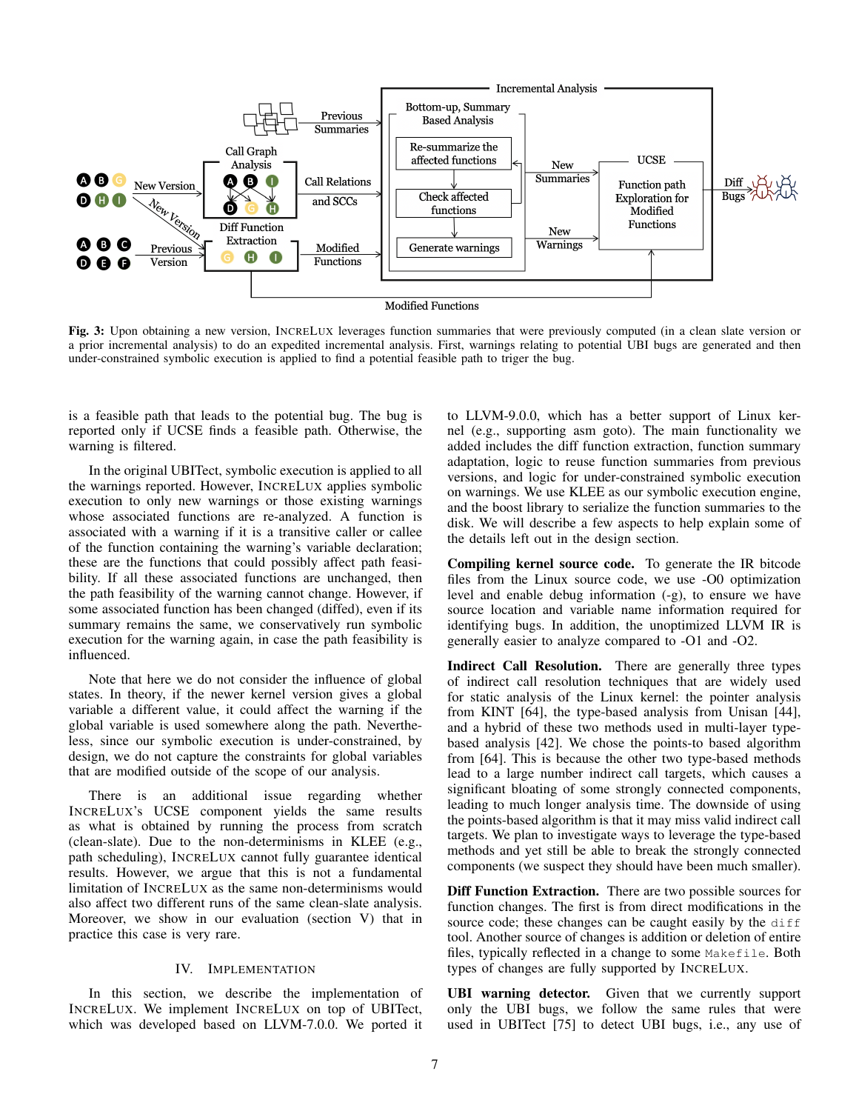<span id="page-6-0"></span>

Fig. 3: Upon obtaining a new version, INCRELUX leverages function summaries that were previously computed (in a clean slate version or a prior incremental analysis) to do an expedited incremental analysis. First, warnings relating to potential UBI bugs are generated and then under-constrained symbolic execution is applied to find a potential feasible path to triger the bug.

is a feasible path that leads to the potential bug. The bug is reported only if UCSE finds a feasible path. Otherwise, the warning is filtered.

In the original UBITect, symbolic execution is applied to all the warnings reported. However, INCRELUX applies symbolic execution to only new warnings or those existing warnings whose associated functions are re-analyzed. A function is associated with a warning if it is a transitive caller or callee of the function containing the warning's variable declaration; these are the functions that could possibly affect path feasibility. If all these associated functions are unchanged, then the path feasibility of the warning cannot change. However, if some associated function has been changed (diffed), even if its summary remains the same, we conservatively run symbolic execution for the warning again, in case the path feasibility is influenced.

Note that here we do not consider the influence of global states. In theory, if the newer kernel version gives a global variable a different value, it could affect the warning if the global variable is used somewhere along the path. Nevertheless, since our symbolic execution is under-constrained, by design, we do not capture the constraints for global variables that are modified outside of the scope of our analysis.

There is an additional issue regarding whether INCRELUX's UCSE component yields the same results as what is obtained by running the process from scratch (clean-slate). Due to the non-determinisms in KLEE (e.g., path scheduling), INCRELUX cannot fully guarantee identical results. However, we argue that this is not a fundamental limitation of INCRELUX as the same non-determinisms would also affect two different runs of the same clean-slate analysis. Moreover, we show in our evaluation [\(section V\)](#page-7-0) that in practice this case is very rare.

# IV. IMPLEMENTATION

<span id="page-6-1"></span>In this section, we describe the implementation of INCRELUX. We implement INCRELUX on top of UBITect, which was developed based on LLVM-7.0.0. We ported it to LLVM-9.0.0, which has a better support of Linux kernel (e.g., supporting asm goto). The main functionality we added includes the diff function extraction, function summary adaptation, logic to reuse function summaries from previous versions, and logic for under-constrained symbolic execution on warnings. We use KLEE as our symbolic execution engine, and the boost library to serialize the function summaries to the disk. We will describe a few aspects to help explain some of the details left out in the design section.

Compiling kernel source code. To generate the IR bitcode files from the Linux source code, we use -O0 optimization level and enable debug information (-g), to ensure we have source location and variable name information required for identifying bugs. In addition, the unoptimized LLVM IR is generally easier to analyze compared to -O1 and -O2.

Indirect Call Resolution. There are generally three types of indirect call resolution techniques that are widely used for static analysis of the Linux kernel: the pointer analysis from KINT [\[64\]](#page-15-13), the type-based analysis from Unisan [\[44\]](#page-15-24), and a hybrid of these two methods used in multi-layer typebased analysis [\[42\]](#page-14-24). We chose the points-to based algorithm from [\[64\]](#page-15-13). This is because the other two type-based methods lead to a large number indirect call targets, which causes a significant bloating of some strongly connected components, leading to much longer analysis time. The downside of using the points-based algorithm is that it may miss valid indirect call targets. We plan to investigate ways to leverage the type-based methods and yet still be able to break the strongly connected components (we suspect they should have been much smaller).

Diff Function Extraction. There are two possible sources for function changes. The first is from direct modifications in the source code; these changes can be caught easily by the diff tool. Another source of changes is addition or deletion of entire files, typically reflected in a change to some Makefile. Both types of changes are fully supported by INCRELUX.

UBI warning detector. Given that we currently support only the UBI bugs, we follow the same rules that were used in UBITect [\[75\]](#page-15-17) to detect UBI bugs, i.e., any use of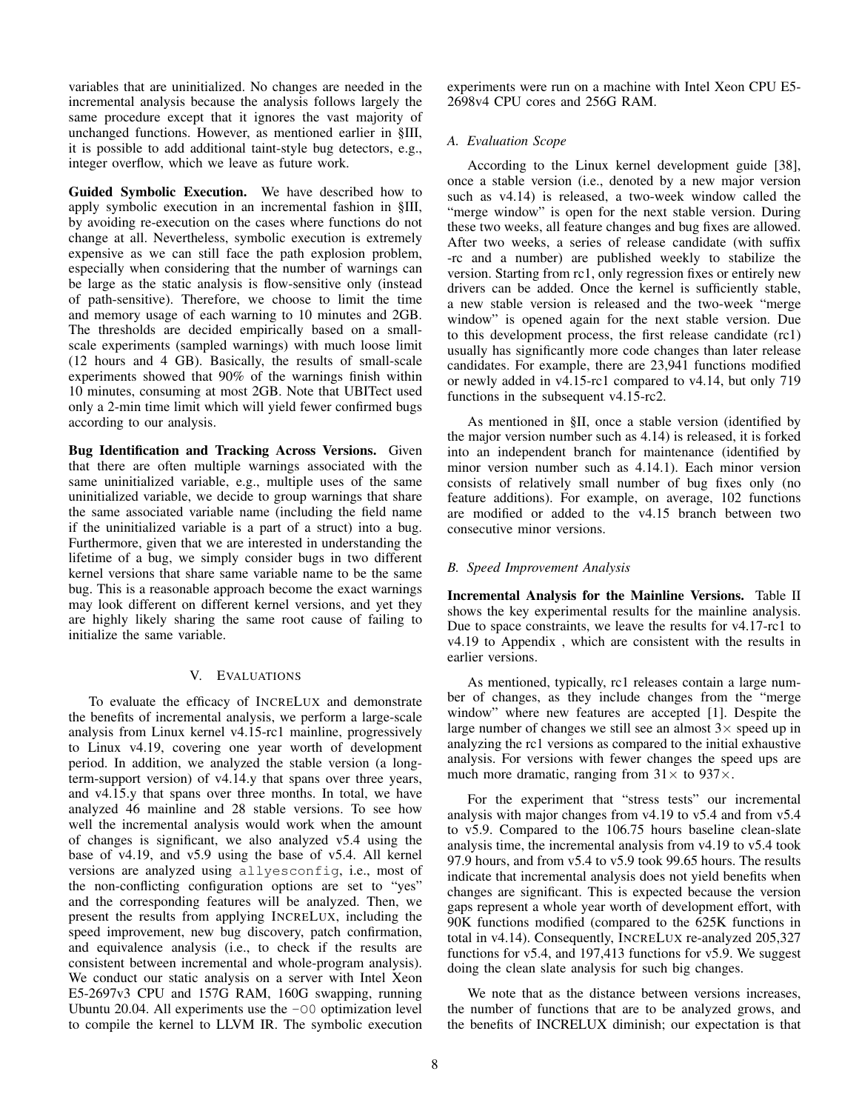variables that are uninitialized. No changes are needed in the incremental analysis because the analysis follows largely the same procedure except that it ignores the vast majority of unchanged functions. However, as mentioned earlier in [§III,](#page-3-2) it is possible to add additional taint-style bug detectors, e.g., integer overflow, which we leave as future work.

Guided Symbolic Execution. We have described how to apply symbolic execution in an incremental fashion in [§III,](#page-3-2) by avoiding re-execution on the cases where functions do not change at all. Nevertheless, symbolic execution is extremely expensive as we can still face the path explosion problem, especially when considering that the number of warnings can be large as the static analysis is flow-sensitive only (instead of path-sensitive). Therefore, we choose to limit the time and memory usage of each warning to 10 minutes and 2GB. The thresholds are decided empirically based on a smallscale experiments (sampled warnings) with much loose limit (12 hours and 4 GB). Basically, the results of small-scale experiments showed that 90% of the warnings finish within 10 minutes, consuming at most 2GB. Note that UBITect used only a 2-min time limit which will yield fewer confirmed bugs according to our analysis.

Bug Identification and Tracking Across Versions. Given that there are often multiple warnings associated with the same uninitialized variable, e.g., multiple uses of the same uninitialized variable, we decide to group warnings that share the same associated variable name (including the field name if the uninitialized variable is a part of a struct) into a bug. Furthermore, given that we are interested in understanding the lifetime of a bug, we simply consider bugs in two different kernel versions that share same variable name to be the same bug. This is a reasonable approach become the exact warnings may look different on different kernel versions, and yet they are highly likely sharing the same root cause of failing to initialize the same variable.

# V. EVALUATIONS

<span id="page-7-0"></span>To evaluate the efficacy of INCRELUX and demonstrate the benefits of incremental analysis, we perform a large-scale analysis from Linux kernel v4.15-rc1 mainline, progressively to Linux v4.19, covering one year worth of development period. In addition, we analyzed the stable version (a longterm-support version) of v4.14.y that spans over three years, and v4.15.y that spans over three months. In total, we have analyzed 46 mainline and 28 stable versions. To see how well the incremental analysis would work when the amount of changes is significant, we also analyzed v5.4 using the base of v4.19, and v5.9 using the base of v5.4. All kernel versions are analyzed using allyesconfig, i.e., most of the non-conflicting configuration options are set to "yes" and the corresponding features will be analyzed. Then, we present the results from applying INCRELUX, including the speed improvement, new bug discovery, patch confirmation, and equivalence analysis (i.e., to check if the results are consistent between incremental and whole-program analysis). We conduct our static analysis on a server with Intel Xeon E5-2697v3 CPU and 157G RAM, 160G swapping, running Ubuntu 20.04. All experiments use the  $-00$  optimization level to compile the kernel to LLVM IR. The symbolic execution experiments were run on a machine with Intel Xeon CPU E5- 2698v4 CPU cores and 256G RAM.

## <span id="page-7-2"></span>*A. Evaluation Scope*

According to the Linux kernel development guide [\[38\]](#page-14-25), once a stable version (i.e., denoted by a new major version such as v4.14) is released, a two-week window called the "merge window" is open for the next stable version. During these two weeks, all feature changes and bug fixes are allowed. After two weeks, a series of release candidate (with suffix -rc and a number) are published weekly to stabilize the version. Starting from rc1, only regression fixes or entirely new drivers can be added. Once the kernel is sufficiently stable, a new stable version is released and the two-week "merge window" is opened again for the next stable version. Due to this development process, the first release candidate (rc1) usually has significantly more code changes than later release candidates. For example, there are 23,941 functions modified or newly added in v4.15-rc1 compared to v4.14, but only 719 functions in the subsequent v4.15-rc2.

As mentioned in [§II,](#page-1-0) once a stable version (identified by the major version number such as 4.14) is released, it is forked into an independent branch for maintenance (identified by minor version number such as 4.14.1). Each minor version consists of relatively small number of bug fixes only (no feature additions). For example, on average, 102 functions are modified or added to the v4.15 branch between two consecutive minor versions.

## <span id="page-7-1"></span>*B. Speed Improvement Analysis*

Incremental Analysis for the Mainline Versions. [Table II](#page-8-0) shows the key experimental results for the mainline analysis. Due to space constraints, we leave the results for v4.17-rc1 to v4.19 to [Appendix](#page-16-0) , which are consistent with the results in earlier versions.

As mentioned, typically, rc1 releases contain a large number of changes, as they include changes from the "merge window" where new features are accepted [\[1\]](#page-14-26). Despite the large number of changes we still see an almost  $3\times$  speed up in analyzing the rc1 versions as compared to the initial exhaustive analysis. For versions with fewer changes the speed ups are much more dramatic, ranging from  $31 \times$  to  $937 \times$ .

For the experiment that "stress tests" our incremental analysis with major changes from v4.19 to v5.4 and from v5.4 to v5.9. Compared to the 106.75 hours baseline clean-slate analysis time, the incremental analysis from v4.19 to v5.4 took 97.9 hours, and from v5.4 to v5.9 took 99.65 hours. The results indicate that incremental analysis does not yield benefits when changes are significant. This is expected because the version gaps represent a whole year worth of development effort, with 90K functions modified (compared to the 625K functions in total in v4.14). Consequently, INCRELUX re-analyzed 205,327 functions for v5.4, and 197,413 functions for v5.9. We suggest doing the clean slate analysis for such big changes.

We note that as the distance between versions increases, the number of functions that are to be analyzed grows, and the benefits of INCRELUX diminish; our expectation is that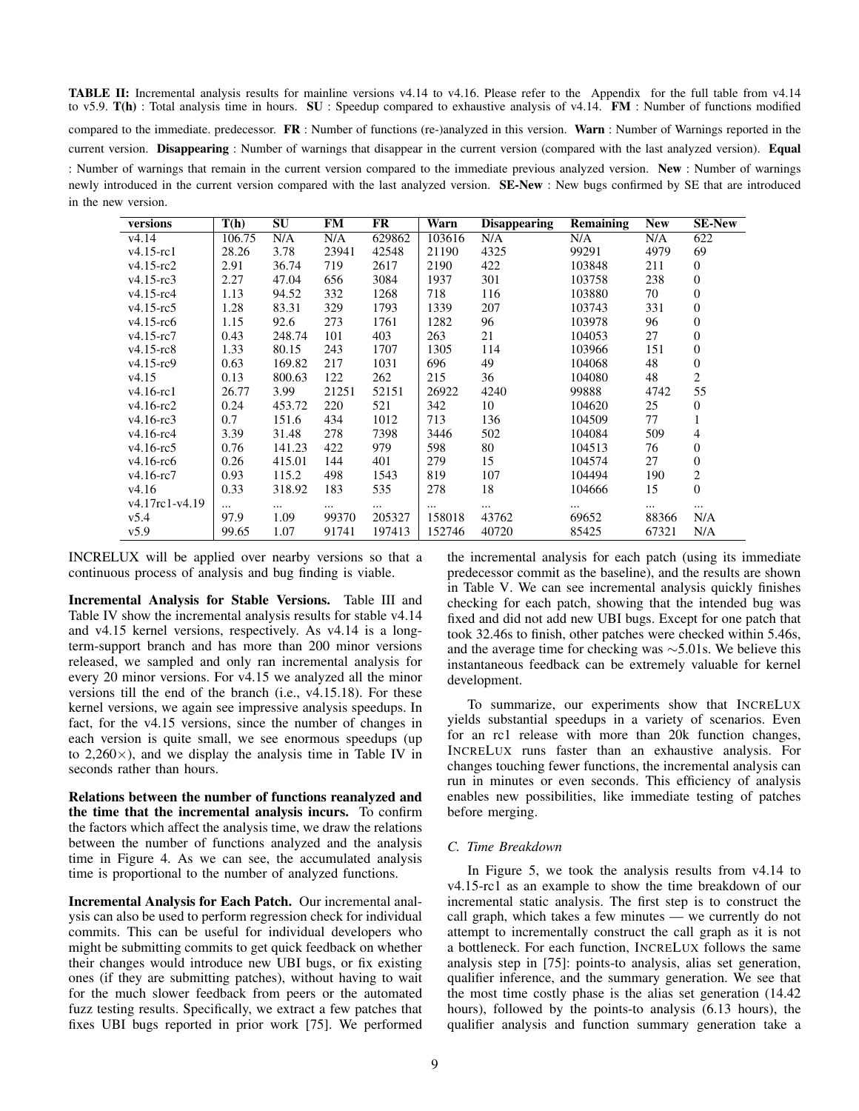<span id="page-8-0"></span>TABLE II: Incremental analysis results for mainline versions v4.14 to v4.16. Please refer to the [Appendix](#page-16-0) for the full table from v4.14 to v5.9. T(h) : Total analysis time in hours. SU : Speedup compared to exhaustive analysis of v4.14. FM : Number of functions modified compared to the immediate. predecessor.  $\mathbf{FR}$ : Number of functions (re-)analyzed in this version. Warn: Number of Warnings reported in the current version. Disappearing : Number of warnings that disappear in the current version (compared with the last analyzed version). Equal : Number of warnings that remain in the current version compared to the immediate previous analyzed version. New : Number of warnings newly introduced in the current version compared with the last analyzed version. SE-New : New bugs confirmed by SE that are introduced in the new version.

| versions        | T(h)     | SU     | <b>FM</b> | FR       | Warn   | <b>Disappearing</b> | <b>Remaining</b> | <b>New</b> | <b>SE-New</b>    |
|-----------------|----------|--------|-----------|----------|--------|---------------------|------------------|------------|------------------|
| v4.14           | 106.75   | N/A    | N/A       | 629862   | 103616 | N/A                 | N/A              | N/A        | 622              |
| $v4.15$ -rc1    | 28.26    | 3.78   | 23941     | 42548    | 21190  | 4325                | 99291            | 4979       | 69               |
| $v4.15 - rc2$   | 2.91     | 36.74  | 719       | 2617     | 2190   | 422                 | 103848           | 211        | $\overline{0}$   |
| $v4.15$ -rc3    | 2.27     | 47.04  | 656       | 3084     | 1937   | 301                 | 103758           | 238        | $\boldsymbol{0}$ |
| $v4.15$ -rc $4$ | 1.13     | 94.52  | 332       | 1268     | 718    | 116                 | 103880           | 70         | $\mathbf{0}$     |
| $v4.15$ -rc5    | 1.28     | 83.31  | 329       | 1793     | 1339   | 207                 | 103743           | 331        | $\mathbf{0}$     |
| $v4.15$ -rc $6$ | 1.15     | 92.6   | 273       | 1761     | 1282   | 96                  | 103978           | 96         | 0                |
| $v4.15$ -rc $7$ | 0.43     | 248.74 | 101       | 403      | 263    | 21                  | 104053           | 27         | $\overline{0}$   |
| $v4.15 - rc8$   | 1.33     | 80.15  | 243       | 1707     | 1305   | 114                 | 103966           | 151        | $\theta$         |
| $v4.15$ -rc $9$ | 0.63     | 169.82 | 217       | 1031     | 696    | 49                  | 104068           | 48         | $\boldsymbol{0}$ |
| v4.15           | 0.13     | 800.63 | 122       | 262      | 215    | 36                  | 104080           | 48         | $\overline{c}$   |
| $v4.16$ -rc $1$ | 26.77    | 3.99   | 21251     | 52151    | 26922  | 4240                | 99888            | 4742       | 55               |
| $v4.16$ -rc2    | 0.24     | 453.72 | 220       | 521      | 342    | 10                  | 104620           | 25         | $\theta$         |
| $v4.16$ -rc3    | 0.7      | 151.6  | 434       | 1012     | 713    | 136                 | 104509           | 77         | 1                |
| $v4.16$ -rc $4$ | 3.39     | 31.48  | 278       | 7398     | 3446   | 502                 | 104084           | 509        | 4                |
| $v4.16$ -rc5    | 0.76     | 141.23 | 422       | 979      | 598    | 80                  | 104513           | 76         | $\boldsymbol{0}$ |
| $v4.16$ -rc $6$ | 0.26     | 415.01 | 144       | 401      | 279    | 15                  | 104574           | 27         | $\boldsymbol{0}$ |
| $v4.16$ -rc $7$ | 0.93     | 115.2  | 498       | 1543     | 819    | 107                 | 104494           | 190        | 2                |
| v4.16           | 0.33     | 318.92 | 183       | 535      | 278    | 18                  | 104666           | 15         | $\overline{0}$   |
| v4.17rc1-v4.19  | $\cdots$ |        |           | $\cdots$ |        |                     |                  | $\cdots$   |                  |
| v5.4            | 97.9     | 1.09   | 99370     | 205327   | 158018 | 43762               | 69652            | 88366      | N/A              |
| v5.9            | 99.65    | 1.07   | 91741     | 197413   | 152746 | 40720               | 85425            | 67321      | N/A              |

INCRELUX will be applied over nearby versions so that a continuous process of analysis and bug finding is viable.

Incremental Analysis for Stable Versions. [Table III](#page-9-0) and [Table IV](#page-9-1) show the incremental analysis results for stable v4.14 and v4.15 kernel versions, respectively. As v4.14 is a longterm-support branch and has more than 200 minor versions released, we sampled and only ran incremental analysis for every 20 minor versions. For v4.15 we analyzed all the minor versions till the end of the branch (i.e., v4.15.18). For these kernel versions, we again see impressive analysis speedups. In fact, for the v4.15 versions, since the number of changes in each version is quite small, we see enormous speedups (up to  $2,260\times$ ), and we display the analysis time in [Table IV](#page-9-1) in seconds rather than hours.

Relations between the number of functions reanalyzed and the time that the incremental analysis incurs. To confirm the factors which affect the analysis time, we draw the relations between the number of functions analyzed and the analysis time in [Figure 4.](#page-10-0) As we can see, the accumulated analysis time is proportional to the number of analyzed functions.

Incremental Analysis for Each Patch. Our incremental analysis can also be used to perform regression check for individual commits. This can be useful for individual developers who might be submitting commits to get quick feedback on whether their changes would introduce new UBI bugs, or fix existing ones (if they are submitting patches), without having to wait for the much slower feedback from peers or the automated fuzz testing results. Specifically, we extract a few patches that fixes UBI bugs reported in prior work [\[75\]](#page-15-17). We performed the incremental analysis for each patch (using its immediate predecessor commit as the baseline), and the results are shown in [Table V.](#page-9-2) We can see incremental analysis quickly finishes checking for each patch, showing that the intended bug was fixed and did not add new UBI bugs. Except for one patch that took 32.46s to finish, other patches were checked within 5.46s, and the average time for checking was ∼5.01s. We believe this instantaneous feedback can be extremely valuable for kernel development.

To summarize, our experiments show that INCRELUX yields substantial speedups in a variety of scenarios. Even for an rc1 release with more than 20k function changes, INCRELUX runs faster than an exhaustive analysis. For changes touching fewer functions, the incremental analysis can run in minutes or even seconds. This efficiency of analysis enables new possibilities, like immediate testing of patches before merging.

## <span id="page-8-1"></span>*C. Time Breakdown*

In [Figure 5,](#page-10-1) we took the analysis results from v4.14 to v4.15-rc1 as an example to show the time breakdown of our incremental static analysis. The first step is to construct the call graph, which takes a few minutes — we currently do not attempt to incrementally construct the call graph as it is not a bottleneck. For each function, INCRELUX follows the same analysis step in [\[75\]](#page-15-17): points-to analysis, alias set generation, qualifier inference, and the summary generation. We see that the most time costly phase is the alias set generation (14.42 hours), followed by the points-to analysis (6.13 hours), the qualifier analysis and function summary generation take a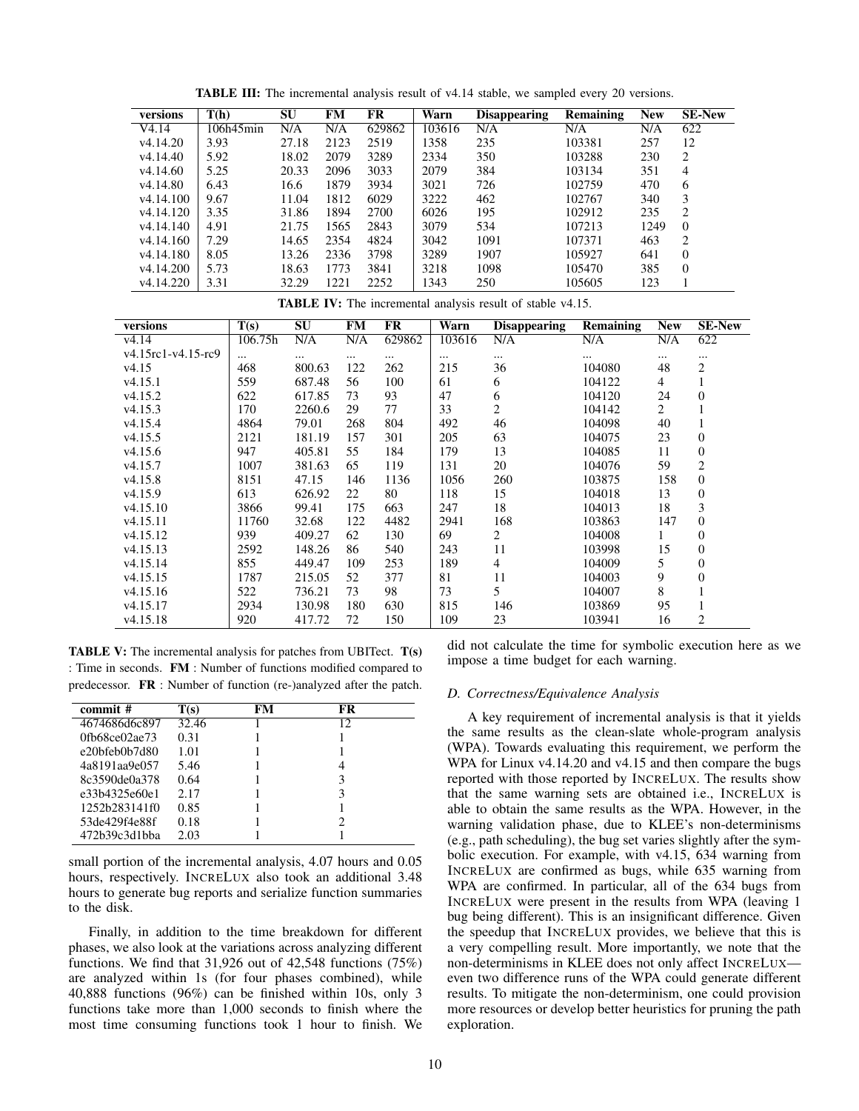<span id="page-9-0"></span>

| versions              | T(h)      | SU    | <b>FM</b> | FR     | Warn   | <b>Disappearing</b> | <b>Remaining</b> | <b>New</b> | <b>SE-New</b>  |
|-----------------------|-----------|-------|-----------|--------|--------|---------------------|------------------|------------|----------------|
| V4.14                 | 106h45min | N/A   | N/A       | 629862 | 103616 | N/A                 | N/A              | N/A        | 622            |
| v <sub>4.14.20</sub>  | 3.93      | 27.18 | 2123      | 2519   | 1358   | 235                 | 103381           | 257        | 12             |
| v <sub>4.14.40</sub>  | 5.92      | 18.02 | 2079      | 3289   | 2334   | 350                 | 103288           | 230        | 2              |
| v4.14.60              | 5.25      | 20.33 | 2096      | 3033   | 2079   | 384                 | 103134           | 351        | $\overline{4}$ |
| v4.14.80              | 6.43      | 16.6  | 1879      | 3934   | 3021   | 726                 | 102759           | 470        | 6              |
| v4.14.100             | 9.67      | 11.04 | 1812      | 6029   | 3222   | 462                 | 102767           | 340        | 3              |
| v <sub>4.14.120</sub> | 3.35      | 31.86 | 1894      | 2700   | 6026   | 195                 | 102912           | 235        | 2              |
| v <sub>4.14.140</sub> | 4.91      | 21.75 | 1565      | 2843   | 3079   | 534                 | 107213           | 1249       | $\theta$       |
| v4.14.160             | 7.29      | 14.65 | 2354      | 4824   | 3042   | 1091                | 107371           | 463        | 2              |
| v <sub>4.14.180</sub> | 8.05      | 13.26 | 2336      | 3798   | 3289   | 1907                | 105927           | 641        | $\Omega$       |
| v <sub>4.14.200</sub> | 5.73      | 18.63 | 1773      | 3841   | 3218   | 1098                | 105470           | 385        | $\Omega$       |
| v <sub>4.14.220</sub> | 3.31      | 32.29 | 1221      | 2252   | 1343   | 250                 | 105605           | 123        |                |

TABLE III: The incremental analysis result of v4.14 stable, we sampled every 20 versions.

TABLE IV: The incremental analysis result of stable v4.15.

<span id="page-9-1"></span>

| versions             | $\overline{T(s)}$ | SU     | <b>FM</b> | FR     | Warn     | <b>Disappearing</b> | <b>Remaining</b> | <b>New</b>     | <b>SE-New</b>  |
|----------------------|-------------------|--------|-----------|--------|----------|---------------------|------------------|----------------|----------------|
| v <sub>4.14</sub>    | 106.75h           | N/A    | N/A       | 629862 | 103616   | N/A                 | N/A              | N/A            | 622            |
| $v4.15rc1-v4.15-rc9$ | $\cdots$          |        | $\cdots$  |        | $\cdots$ | $\cdots$            |                  | $\cdots$       | $\cdots$       |
| v4.15                | 468               | 800.63 | 122       | 262    | 215      | 36                  | 104080           | 48             | $\overline{c}$ |
| v4.15.1              | 559               | 687.48 | 56        | 100    | 61       | 6                   | 104122           | $\overline{4}$ | 1              |
| v4.15.2              | 622               | 617.85 | 73        | 93     | 47       | 6                   | 104120           | 24             | $\Omega$       |
| v4.15.3              | 170               | 2260.6 | 29        | 77     | 33       | $\overline{2}$      | 104142           | $\overline{2}$ |                |
| v4.15.4              | 4864              | 79.01  | 268       | 804    | 492      | 46                  | 104098           | 40             |                |
| v4.15.5              | 2121              | 181.19 | 157       | 301    | 205      | 63                  | 104075           | 23             | $\Omega$       |
| v4.15.6              | 947               | 405.81 | 55        | 184    | 179      | 13                  | 104085           | 11             | $\overline{0}$ |
| v4.15.7              | 1007              | 381.63 | 65        | 119    | 131      | 20                  | 104076           | 59             | 2              |
| v4.15.8              | 8151              | 47.15  | 146       | 1136   | 1056     | 260                 | 103875           | 158            | $\overline{0}$ |
| v4.15.9              | 613               | 626.92 | 22        | 80     | 118      | 15                  | 104018           | 13             | $\overline{0}$ |
| v4.15.10             | 3866              | 99.41  | 175       | 663    | 247      | 18                  | 104013           | 18             | 3              |
| v4.15.11             | 11760             | 32.68  | 122       | 4482   | 2941     | 168                 | 103863           | 147            | $\Omega$       |
| v4.15.12             | 939               | 409.27 | 62        | 130    | 69       | 2                   | 104008           |                | $\overline{0}$ |
| v4.15.13             | 2592              | 148.26 | 86        | 540    | 243      | 11                  | 103998           | 15             | $\overline{0}$ |
| v4.15.14             | 855               | 449.47 | 109       | 253    | 189      | $\overline{4}$      | 104009           | 5              | $\overline{0}$ |
| v4.15.15             | 1787              | 215.05 | 52        | 377    | 81       | 11                  | 104003           | 9              | $\overline{0}$ |
| v4.15.16             | 522               | 736.21 | 73        | 98     | 73       | 5.                  | 104007           | 8              |                |
| v <sub>4.15.17</sub> | 2934              | 130.98 | 180       | 630    | 815      | 146                 | 103869           | 95             |                |
| v4.15.18             | 920               | 417.72 | 72        | 150    | 109      | 23                  | 103941           | 16             | 2              |

<span id="page-9-2"></span>TABLE V: The incremental analysis for patches from UBITect. T(s) : Time in seconds. FM : Number of functions modified compared to predecessor. FR : Number of function (re-)analyzed after the patch.

| commit #                | T(s)  | FM | FR |  |
|-------------------------|-------|----|----|--|
| 4674686d6c897           | 32.46 |    | 12 |  |
| $0$ fb68ce $02$ ae $73$ | 0.31  |    |    |  |
| e20bfeb0b7d80           | 1.01  |    |    |  |
| 4a8191aa9e057           | 5.46  |    |    |  |
| 8c3590de0a378           | 0.64  |    | 3  |  |
| e33b4325e60e1           | 2.17  |    | 3  |  |
| 1252b283141f0           | 0.85  |    |    |  |
| 53de429f4e88f           | 0.18  |    | ာ  |  |
| 472b39c3d1bba           | 2.03  |    |    |  |

small portion of the incremental analysis, 4.07 hours and 0.05 hours, respectively. INCRELUX also took an additional 3.48 hours to generate bug reports and serialize function summaries to the disk.

Finally, in addition to the time breakdown for different phases, we also look at the variations across analyzing different functions. We find that 31,926 out of 42,548 functions (75%) are analyzed within 1s (for four phases combined), while 40,888 functions (96%) can be finished within 10s, only 3 functions take more than 1,000 seconds to finish where the most time consuming functions took 1 hour to finish. We did not calculate the time for symbolic execution here as we impose a time budget for each warning.

## *D. Correctness/Equivalence Analysis*

A key requirement of incremental analysis is that it yields the same results as the clean-slate whole-program analysis (WPA). Towards evaluating this requirement, we perform the WPA for Linux v4.14.20 and v4.15 and then compare the bugs reported with those reported by INCRELUX. The results show that the same warning sets are obtained i.e., INCRELUX is able to obtain the same results as the WPA. However, in the warning validation phase, due to KLEE's non-determinisms (e.g., path scheduling), the bug set varies slightly after the symbolic execution. For example, with v4.15, 634 warning from INCRELUX are confirmed as bugs, while 635 warning from WPA are confirmed. In particular, all of the 634 bugs from INCRELUX were present in the results from WPA (leaving 1 bug being different). This is an insignificant difference. Given the speedup that INCRELUX provides, we believe that this is a very compelling result. More importantly, we note that the non-determinisms in KLEE does not only affect INCRELUX even two difference runs of the WPA could generate different results. To mitigate the non-determinism, one could provision more resources or develop better heuristics for pruning the path exploration.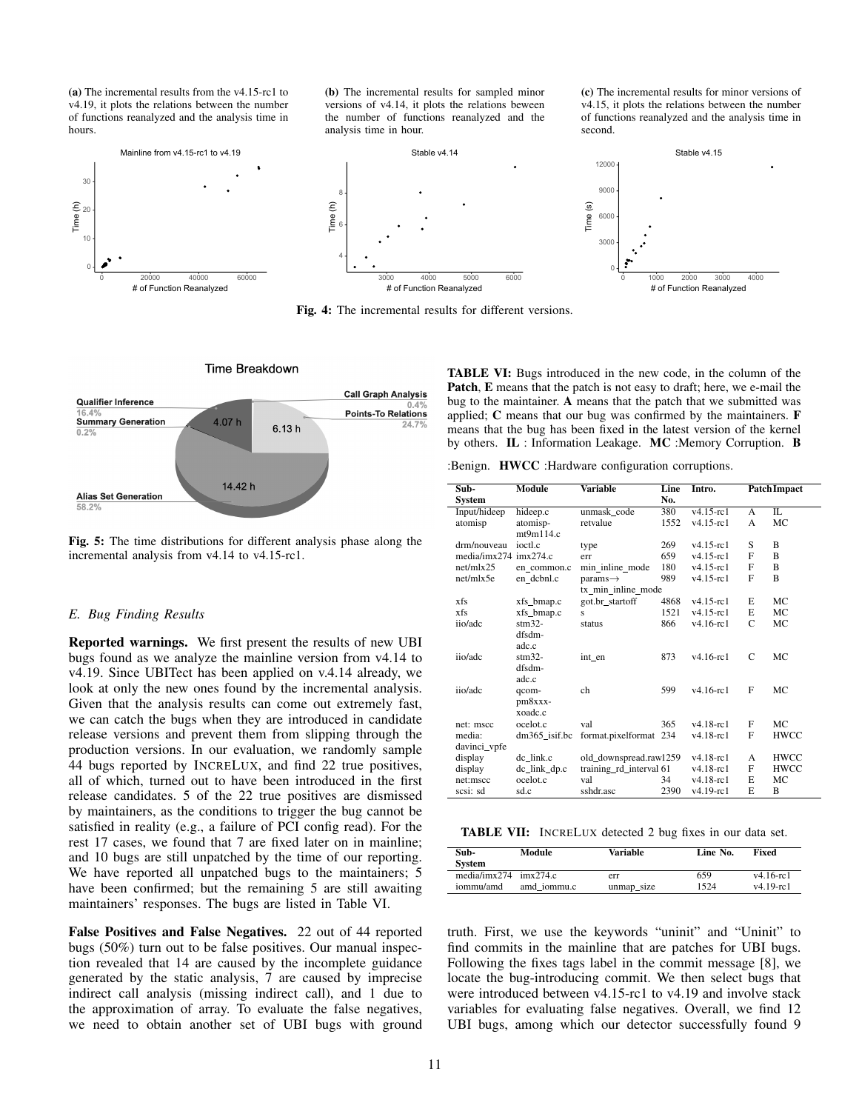<span id="page-10-0"></span>(a) The incremental results from the v4.15-rc1 to v4.19, it plots the relations between the number of functions reanalyzed and the analysis time in hours.

10 20 Time (h) 30 20000 40000 60000 # of Function Reanalyzed Mainline from v4.15-rc1 to v4.19

(b) The incremental results for sampled minor versions of v4.14, it plots the relations beween the number of functions reanalyzed and the analysis time in hour.

(c) The incremental results for minor versions of v4.15, it plots the relations between the number of functions reanalyzed and the analysis time in second.



Fig. 4: The incremental results for different versions.

<span id="page-10-1"></span>

Fig. 5: The time distributions for different analysis phase along the incremental analysis from v4.14 to v4.15-rc1.

#### <span id="page-10-3"></span>*E. Bug Finding Results*

Reported warnings. We first present the results of new UBI bugs found as we analyze the mainline version from v4.14 to v4.19. Since UBITect has been applied on v.4.14 already, we look at only the new ones found by the incremental analysis. Given that the analysis results can come out extremely fast, we can catch the bugs when they are introduced in candidate release versions and prevent them from slipping through the production versions. In our evaluation, we randomly sample 44 bugs reported by INCRELUX, and find 22 true positives, all of which, turned out to have been introduced in the first release candidates. 5 of the 22 true positives are dismissed by maintainers, as the conditions to trigger the bug cannot be satisfied in reality (e.g., a failure of PCI config read). For the rest 17 cases, we found that 7 are fixed later on in mainline; and 10 bugs are still unpatched by the time of our reporting. We have reported all unpatched bugs to the maintainers; 5 have been confirmed; but the remaining 5 are still awaiting maintainers' responses. The bugs are listed in [Table VI.](#page-10-2)

False Positives and False Negatives. 22 out of 44 reported bugs (50%) turn out to be false positives. Our manual inspection revealed that 14 are caused by the incomplete guidance generated by the static analysis, 7 are caused by imprecise indirect call analysis (missing indirect call), and 1 due to the approximation of array. To evaluate the false negatives, we need to obtain another set of UBI bugs with ground <span id="page-10-2"></span>TABLE VI: Bugs introduced in the new code, in the column of the Patch, E means that the patch is not easy to draft; here, we e-mail the bug to the maintainer. A means that the patch that we submitted was applied; C means that our bug was confirmed by the maintainers. F means that the bug has been fixed in the latest version of the kernel by others. IL : Information Leakage. MC :Memory Corruption. B

:Benign. HWCC :Hardware configuration corruptions.

| Sub-                  | Module           | <b>Variable</b>         | Line | Intro.          |               | <b>Patch Impact</b> |
|-----------------------|------------------|-------------------------|------|-----------------|---------------|---------------------|
| <b>System</b>         |                  |                         | No.  |                 |               |                     |
| Input/hideep          | hideep.c         | unmask code             | 380  | $v4.15 - rc1$   | $\mathsf{A}$  | Π.                  |
| atomisp               | atomisp-         | retvalue                | 1552 | $v4.15$ -rc1    | A             | <b>MC</b>           |
|                       | mt9m114.c        |                         |      |                 |               |                     |
| drm/nouveau           | ioctl.c          | type                    | 269  | $v4.15 - r c1$  | S             | B                   |
| media/imx274 imx274.c |                  | err                     | 659  | $v4.15$ -rc1    | F             | B                   |
| net/mlx25             | en common.c      | min_inline_mode         | 180  | $v4.15 - r c1$  | F             | B                   |
| net/mlx5e             | en dcbnl.c       | $params \rightarrow$    | 989  | $v4.15$ -rc1    | F             | B                   |
|                       |                  | tx min inline mode      |      |                 |               |                     |
| xfs                   | xfs bmap.c       | got.br startoff         | 4868 | $v4.15 - r c1$  | E             | MC                  |
| xfs                   | xfs_bmap.c       | S                       | 1521 | $v4.15$ -rc1    | E             | <b>MC</b>           |
| iio/adc               | $stm32-$         | status                  | 866  | $v4.16$ -rc1    | $\mathcal{C}$ | <b>MC</b>           |
|                       | dfsdm-           |                         |      |                 |               |                     |
|                       | adc.c            |                         |      |                 |               |                     |
| iio/adc               | $stm32-$         | int en                  | 873  | $v4.16$ -rc $1$ | C             | MC                  |
|                       | dfsdm-           |                         |      |                 |               |                     |
|                       | adc.c            |                         |      |                 |               |                     |
| iio/adc               | qcom-            | ch                      | 599  | $v4.16$ -rc $1$ | F             | <b>MC</b>           |
|                       | $pm8$ xxx-       |                         |      |                 |               |                     |
|                       | xoadc.c          |                         |      |                 |               |                     |
| net: mscc             | ocelot.c         | val                     | 365  | $v4.18$ -rc1    | F             | MC                  |
| media:                | $dm365$ _isif.bc | format.pixelformat      | 234  | $v4.18$ -rc $1$ | $\mathbf{F}$  | <b>HWCC</b>         |
| davinci vpfe          |                  |                         |      |                 |               |                     |
| display               | de link.c        | old_downspread.rawl259  |      | $v4.18$ -rc1    | $\mathsf{A}$  | <b>HWCC</b>         |
|                       |                  |                         |      | $v4.18$ -rc $1$ | $\mathbf{F}$  | <b>HWCC</b>         |
| display               | $dc_{link_d}$    | training_rd_interval 61 |      |                 |               |                     |
| net:mscc              | ocelot.c         | val                     | 34   | $v4.18$ -rc1    | E             | MC                  |
| scsi: sd              | sd.c             | sshdr.asc               | 2390 | $v4.19$ -rc $1$ | E             | B                   |

TABLE VII: INCRELUX detected 2 bug fixes in our data set.

| Sub-<br><b>System</b>   | Module      | Variable   | Line No. | Fixed        |
|-------------------------|-------------|------------|----------|--------------|
| $medianx274$ $imx274.c$ | amd iommu.c | err        | 659      | $v4.16$ -rc1 |
| iommu/amd               |             | unmap_size | 1524     | $v4.19$ -rc1 |

truth. First, we use the keywords "uninit" and "Uninit" to find commits in the mainline that are patches for UBI bugs. Following the fixes tags label in the commit message [\[8\]](#page-14-19), we locate the bug-introducing commit. We then select bugs that were introduced between v4.15-rc1 to v4.19 and involve stack variables for evaluating false negatives. Overall, we find 12 UBI bugs, among which our detector successfully found 9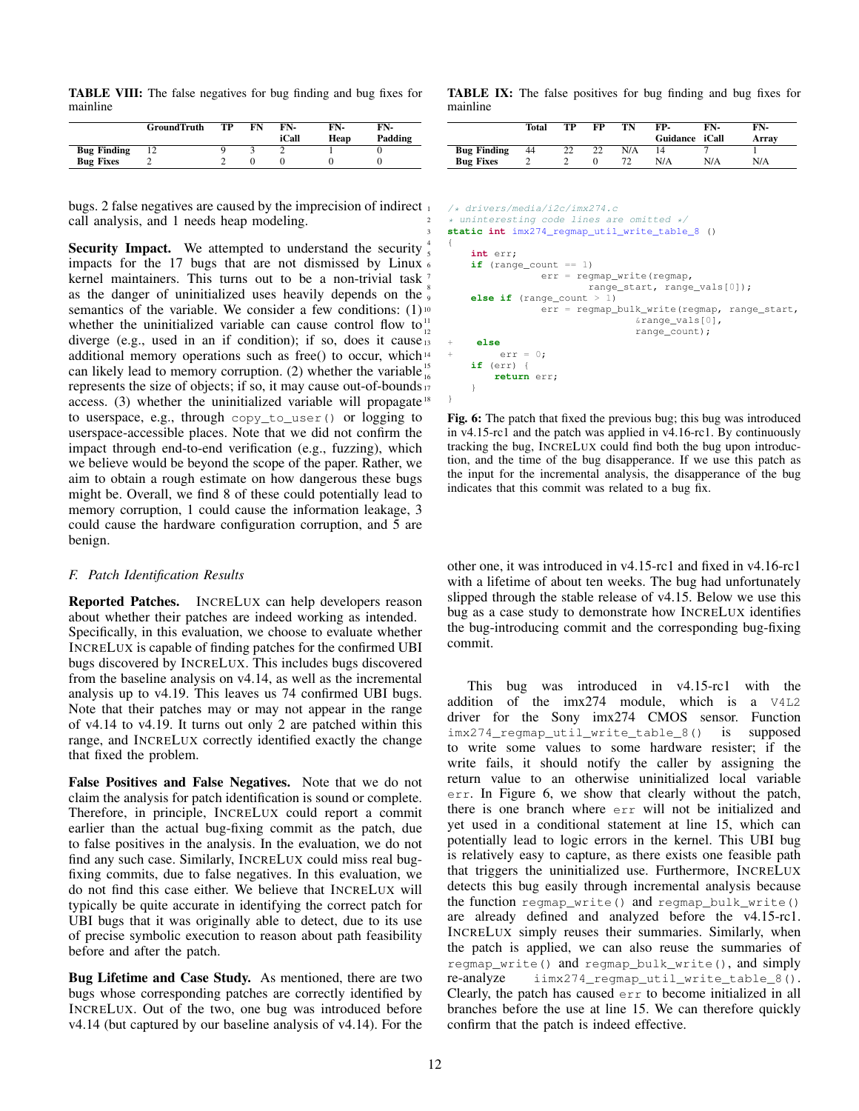TABLE VIII: The false negatives for bug finding and bug fixes for mainline

|                    | <b>GroundTruth</b> | ТP | FN | FN-   | FN-  | FN-     |
|--------------------|--------------------|----|----|-------|------|---------|
|                    |                    |    |    | iCall | Heap | Padding |
| <b>Bug Finding</b> |                    |    |    |       |      |         |
| <b>Bug Fixes</b>   |                    |    |    |       |      |         |

bugs. 2 false negatives are caused by the imprecision of indirect call analysis, and 1 needs heap modeling.

Security Impact. We attempted to understand the security impacts for the 17 bugs that are not dismissed by Linux  $\epsilon$ kernel maintainers. This turns out to be a non-trivial task<sup>7</sup> as the danger of uninitialized uses heavily depends on the  $\frac{1}{9}$ semantics of the variable. We consider a few conditions:  $(1)$ <sup>10</sup> whether the uninitialized variable can cause control flow to  $\frac{11}{12}$ diverge (e.g., used in an if condition); if so, does it cause  $\frac{1}{13}$ additional memory operations such as free() to occur, which<sup>14</sup> can likely lead to memory corruption. (2) whether the variable  $\frac{15}{16}$ represents the size of objects; if so, it may cause out-of-bounds  $\frac{1}{7}$ access. (3) whether the uninitialized variable will propagate<sup>18</sup> to userspace, e.g., through copy\_to\_user() or logging to userspace-accessible places. Note that we did not confirm the impact through end-to-end verification (e.g., fuzzing), which we believe would be beyond the scope of the paper. Rather, we aim to obtain a rough estimate on how dangerous these bugs might be. Overall, we find 8 of these could potentially lead to memory corruption, 1 could cause the information leakage, 3 could cause the hardware configuration corruption, and 5 are benign.

#### *F. Patch Identification Results*

Reported Patches. INCRELUX can help developers reason about whether their patches are indeed working as intended. Specifically, in this evaluation, we choose to evaluate whether INCRELUX is capable of finding patches for the confirmed UBI bugs discovered by INCRELUX. This includes bugs discovered from the baseline analysis on v4.14, as well as the incremental analysis up to v4.19. This leaves us 74 confirmed UBI bugs. Note that their patches may or may not appear in the range of v4.14 to v4.19. It turns out only 2 are patched within this range, and INCRELUX correctly identified exactly the change that fixed the problem.

False Positives and False Negatives. Note that we do not claim the analysis for patch identification is sound or complete. Therefore, in principle, INCRELUX could report a commit earlier than the actual bug-fixing commit as the patch, due to false positives in the analysis. In the evaluation, we do not find any such case. Similarly, INCRELUX could miss real bugfixing commits, due to false negatives. In this evaluation, we do not find this case either. We believe that INCRELUX will typically be quite accurate in identifying the correct patch for UBI bugs that it was originally able to detect, due to its use of precise symbolic execution to reason about path feasibility before and after the patch.

Bug Lifetime and Case Study. As mentioned, there are two bugs whose corresponding patches are correctly identified by INCRELUX. Out of the two, one bug was introduced before v4.14 (but captured by our baseline analysis of v4.14). For the TABLE IX: The false positives for bug finding and bug fixes for mainline

|                    | Total | TР | FP | TN  | FP-            | FN- | FN-   |
|--------------------|-------|----|----|-----|----------------|-----|-------|
|                    |       |    |    |     | Guidance iCall |     | Array |
| <b>Bug Finding</b> | 44    | ▵▵ |    | N/A |                |     |       |
| <b>Bug Fixes</b>   |       |    |    |     | N/A            | N/A | N/A   |

```
/* drivers/media/i2c/imx274.c
* uninteresting code lines are omitted */
3 static int imx274_regmap_util_write_table_8 ()
4 {
    int err;
    if (range_count == 1)
                err = regmap_write(regmap,
                        range_start, range_vals[0]);
    else if (range count > 1)
               err = regmap_bulk_write(regmap, range_start,
                                 %range\_vals[0],range_count);
     13 + else
        err = 0:
    if (err)return err;
```
Fig. 6: The patch that fixed the previous bug; this bug was introduced in v4.15-rc1 and the patch was applied in v4.16-rc1. By continuously tracking the bug, INCRELUX could find both the bug upon introduction, and the time of the bug disapperance. If we use this patch as the input for the incremental analysis, the disapperance of the bug indicates that this commit was related to a bug fix.

other one, it was introduced in v4.15-rc1 and fixed in v4.16-rc1 with a lifetime of about ten weeks. The bug had unfortunately slipped through the stable release of v4.15. Below we use this bug as a case study to demonstrate how INCRELUX identifies the bug-introducing commit and the corresponding bug-fixing commit.

This bug was introduced in v4.15-rc1 with the addition of the imx274 module, which is a V4L2 driver for the Sony imx274 CMOS sensor. Function imx274\_regmap\_util\_write\_table\_8() is supposed to write some values to some hardware resister; if the write fails, it should notify the caller by assigning the return value to an otherwise uninitialized local variable err. In [Figure 6,](#page-11-0) we show that clearly without the patch, there is one branch where err will not be initialized and yet used in a conditional statement at line 15, which can potentially lead to logic errors in the kernel. This UBI bug is relatively easy to capture, as there exists one feasible path that triggers the uninitialized use. Furthermore, INCRELUX detects this bug easily through incremental analysis because the function regmap\_write() and regmap\_bulk\_write() are already defined and analyzed before the v4.15-rc1. INCRELUX simply reuses their summaries. Similarly, when the patch is applied, we can also reuse the summaries of regmap\_write() and regmap\_bulk\_write(), and simply re-analyze iimx274\_regmap\_util\_write\_table\_8(). Clearly, the patch has caused err to become initialized in all branches before the use at line 15. We can therefore quickly confirm that the patch is indeed effective.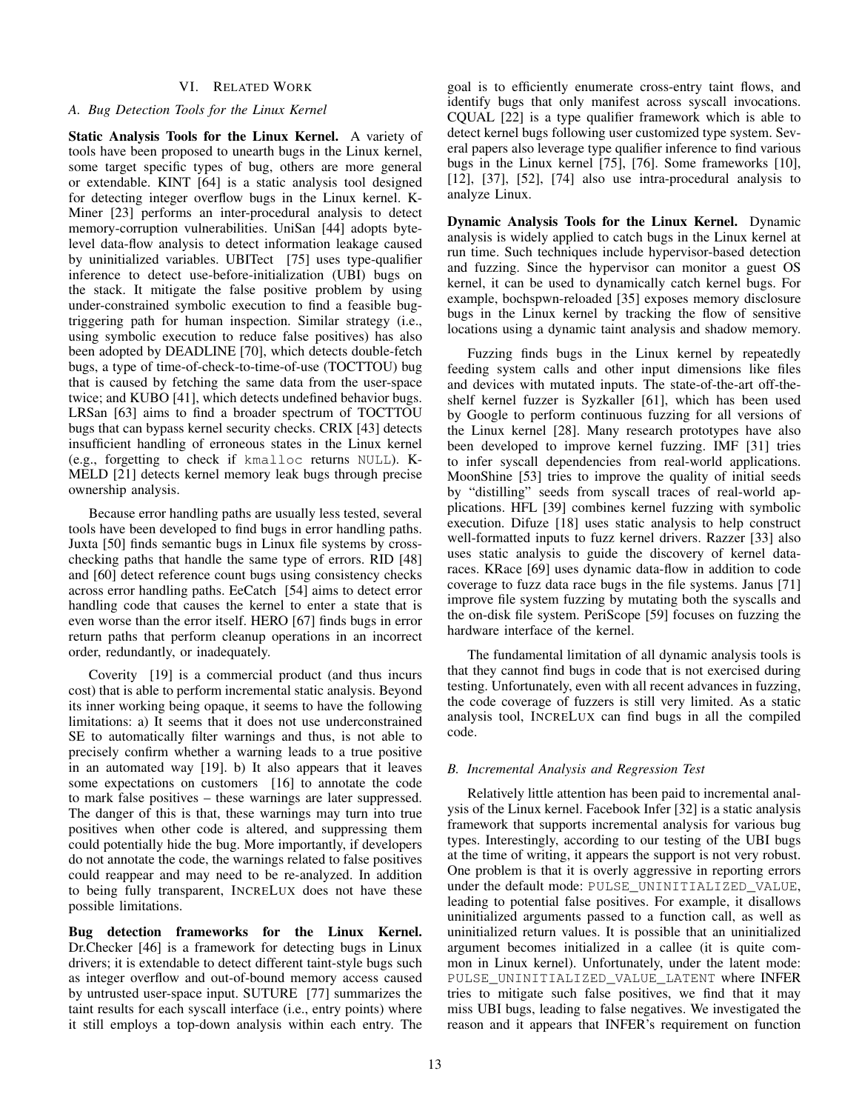# VI. RELATED WORK

#### <span id="page-12-1"></span>*A. Bug Detection Tools for the Linux Kernel*

Static Analysis Tools for the Linux Kernel. A variety of tools have been proposed to unearth bugs in the Linux kernel, some target specific types of bug, others are more general or extendable. KINT [\[64\]](#page-15-13) is a static analysis tool designed for detecting integer overflow bugs in the Linux kernel. K-Miner [\[23\]](#page-14-16) performs an inter-procedural analysis to detect memory-corruption vulnerabilities. UniSan [\[44\]](#page-15-24) adopts bytelevel data-flow analysis to detect information leakage caused by uninitialized variables. UBITect [\[75\]](#page-15-17) uses type-qualifier inference to detect use-before-initialization (UBI) bugs on the stack. It mitigate the false positive problem by using under-constrained symbolic execution to find a feasible bugtriggering path for human inspection. Similar strategy (i.e., using symbolic execution to reduce false positives) has also been adopted by DEADLINE [\[70\]](#page-15-15), which detects double-fetch bugs, a type of time-of-check-to-time-of-use (TOCTTOU) bug that is caused by fetching the same data from the user-space twice; and KUBO [\[41\]](#page-14-17), which detects undefined behavior bugs. LRSan [\[63\]](#page-15-12) aims to find a broader spectrum of TOCTTOU bugs that can bypass kernel security checks. CRIX [\[43\]](#page-15-9) detects insufficient handling of erroneous states in the Linux kernel (e.g., forgetting to check if kmalloc returns NULL). K-MELD [\[21\]](#page-14-15) detects kernel memory leak bugs through precise ownership analysis.

Because error handling paths are usually less tested, several tools have been developed to find bugs in error handling paths. Juxta [\[50\]](#page-15-27) finds semantic bugs in Linux file systems by crosschecking paths that handle the same type of errors. RID [\[48\]](#page-15-28) and [\[60\]](#page-15-11) detect reference count bugs using consistency checks across error handling paths. EeCatch [\[54\]](#page-15-29) aims to detect error handling code that causes the kernel to enter a state that is even worse than the error itself. HERO [\[67\]](#page-15-14) finds bugs in error return paths that perform cleanup operations in an incorrect order, redundantly, or inadequately.

Coverity [\[19\]](#page-14-13) is a commercial product (and thus incurs cost) that is able to perform incremental static analysis. Beyond its inner working being opaque, it seems to have the following limitations: a) It seems that it does not use underconstrained SE to automatically filter warnings and thus, is not able to precisely confirm whether a warning leads to a true positive in an automated way [\[19\]](#page-14-13). b) It also appears that it leaves some expectations on customers [\[16\]](#page-14-27) to annotate the code to mark false positives – these warnings are later suppressed. The danger of this is that, these warnings may turn into true positives when other code is altered, and suppressing them could potentially hide the bug. More importantly, if developers do not annotate the code, the warnings related to false positives could reappear and may need to be re-analyzed. In addition to being fully transparent, INCRELUX does not have these possible limitations.

Bug detection frameworks for the Linux Kernel. Dr.Checker [\[46\]](#page-15-10) is a framework for detecting bugs in Linux drivers; it is extendable to detect different taint-style bugs such as integer overflow and out-of-bound memory access caused by untrusted user-space input. SUTURE [\[77\]](#page-15-30) summarizes the taint results for each syscall interface (i.e., entry points) where it still employs a top-down analysis within each entry. The goal is to efficiently enumerate cross-entry taint flows, and identify bugs that only manifest across syscall invocations. CQUAL [\[22\]](#page-14-28) is a type qualifier framework which is able to detect kernel bugs following user customized type system. Several papers also leverage type qualifier inference to find various bugs in the Linux kernel [\[75\]](#page-15-17), [\[76\]](#page-15-31). Some frameworks [\[10\]](#page-14-29), [\[12\]](#page-14-30), [\[37\]](#page-14-31), [\[52\]](#page-15-32), [\[74\]](#page-15-33) also use intra-procedural analysis to analyze Linux.

Dynamic Analysis Tools for the Linux Kernel. Dynamic analysis is widely applied to catch bugs in the Linux kernel at run time. Such techniques include hypervisor-based detection and fuzzing. Since the hypervisor can monitor a guest OS kernel, it can be used to dynamically catch kernel bugs. For example, bochspwn-reloaded [\[35\]](#page-14-32) exposes memory disclosure bugs in the Linux kernel by tracking the flow of sensitive locations using a dynamic taint analysis and shadow memory.

Fuzzing finds bugs in the Linux kernel by repeatedly feeding system calls and other input dimensions like files and devices with mutated inputs. The state-of-the-art off-theshelf kernel fuzzer is Syzkaller [\[61\]](#page-15-7), which has been used by Google to perform continuous fuzzing for all versions of the Linux kernel [\[28\]](#page-14-12). Many research prototypes have also been developed to improve kernel fuzzing. IMF [\[31\]](#page-14-7) tries to infer syscall dependencies from real-world applications. MoonShine [\[53\]](#page-15-3) tries to improve the quality of initial seeds by "distilling" seeds from syscall traces of real-world applications. HFL [\[39\]](#page-14-9) combines kernel fuzzing with symbolic execution. Difuze [\[18\]](#page-14-6) uses static analysis to help construct well-formatted inputs to fuzz kernel drivers. Razzer [\[33\]](#page-14-8) also uses static analysis to guide the discovery of kernel dataraces. KRace [\[69\]](#page-15-8) uses dynamic data-flow in addition to code coverage to fuzz data race bugs in the file systems. Janus [\[71\]](#page-15-34) improve file system fuzzing by mutating both the syscalls and the on-disk file system. PeriScope [\[59\]](#page-15-6) focuses on fuzzing the hardware interface of the kernel.

The fundamental limitation of all dynamic analysis tools is that they cannot find bugs in code that is not exercised during testing. Unfortunately, even with all recent advances in fuzzing, the code coverage of fuzzers is still very limited. As a static analysis tool, INCRELUX can find bugs in all the compiled code.

## <span id="page-12-0"></span>*B. Incremental Analysis and Regression Test*

Relatively little attention has been paid to incremental analysis of the Linux kernel. Facebook Infer [\[32\]](#page-14-18) is a static analysis framework that supports incremental analysis for various bug types. Interestingly, according to our testing of the UBI bugs at the time of writing, it appears the support is not very robust. One problem is that it is overly aggressive in reporting errors under the default mode: PULSE\_UNINITIALIZED\_VALUE, leading to potential false positives. For example, it disallows uninitialized arguments passed to a function call, as well as uninitialized return values. It is possible that an uninitialized argument becomes initialized in a callee (it is quite common in Linux kernel). Unfortunately, under the latent mode: PULSE\_UNINITIALIZED\_VALUE\_LATENT where INFER tries to mitigate such false positives, we find that it may miss UBI bugs, leading to false negatives. We investigated the reason and it appears that INFER's requirement on function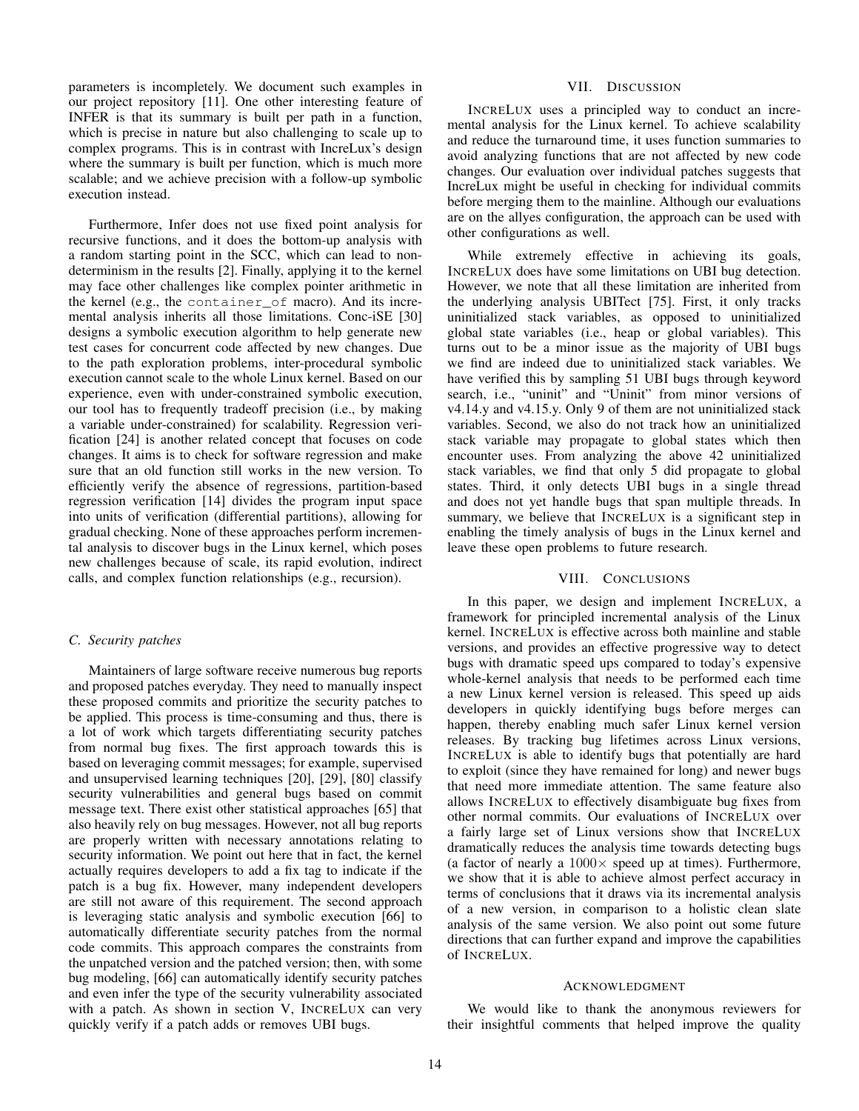parameters is incompletely. We document such examples in our project repository [\[11\]](#page-14-33). One other interesting feature of INFER is that its summary is built per path in a function, which is precise in nature but also challenging to scale up to complex programs. This is in contrast with IncreLux's design where the summary is built per function, which is much more scalable; and we achieve precision with a follow-up symbolic execution instead.

Furthermore, Infer does not use fixed point analysis for recursive functions, and it does the bottom-up analysis with a random starting point in the SCC, which can lead to nondeterminism in the results [\[2\]](#page-14-34). Finally, applying it to the kernel may face other challenges like complex pointer arithmetic in the kernel (e.g., the container\_of macro). And its incremental analysis inherits all those limitations. Conc-iSE [\[30\]](#page-14-35) designs a symbolic execution algorithm to help generate new test cases for concurrent code affected by new changes. Due to the path exploration problems, inter-procedural symbolic execution cannot scale to the whole Linux kernel. Based on our experience, even with under-constrained symbolic execution, our tool has to frequently tradeoff precision (i.e., by making a variable under-constrained) for scalability. Regression verification [\[24\]](#page-14-36) is another related concept that focuses on code changes. It aims is to check for software regression and make sure that an old function still works in the new version. To efficiently verify the absence of regressions, partition-based regression verification [\[14\]](#page-14-37) divides the program input space into units of verification (differential partitions), allowing for gradual checking. None of these approaches perform incremental analysis to discover bugs in the Linux kernel, which poses new challenges because of scale, its rapid evolution, indirect calls, and complex function relationships (e.g., recursion).

## <span id="page-13-0"></span>*C. Security patches*

Maintainers of large software receive numerous bug reports and proposed patches everyday. They need to manually inspect these proposed commits and prioritize the security patches to be applied. This process is time-consuming and thus, there is a lot of work which targets differentiating security patches from normal bug fixes. The first approach towards this is based on leveraging commit messages; for example, supervised and unsupervised learning techniques [\[20\]](#page-14-38), [\[29\]](#page-14-39), [\[80\]](#page-15-35) classify security vulnerabilities and general bugs based on commit message text. There exist other statistical approaches [\[65\]](#page-15-36) that also heavily rely on bug messages. However, not all bug reports are properly written with necessary annotations relating to security information. We point out here that in fact, the kernel actually requires developers to add a fix tag to indicate if the patch is a bug fix. However, many independent developers are still not aware of this requirement. The second approach is leveraging static analysis and symbolic execution [\[66\]](#page-15-37) to automatically differentiate security patches from the normal code commits. This approach compares the constraints from the unpatched version and the patched version; then, with some bug modeling, [\[66\]](#page-15-37) can automatically identify security patches and even infer the type of the security vulnerability associated with a patch. As shown in [section V,](#page-7-0) INCRELUX can very quickly verify if a patch adds or removes UBI bugs.

### VII. DISCUSSION

<span id="page-13-1"></span>INCRELUX uses a principled way to conduct an incremental analysis for the Linux kernel. To achieve scalability and reduce the turnaround time, it uses function summaries to avoid analyzing functions that are not affected by new code changes. Our evaluation over individual patches suggests that IncreLux might be useful in checking for individual commits before merging them to the mainline. Although our evaluations are on the allyes configuration, the approach can be used with other configurations as well.

While extremely effective in achieving its goals, INCRELUX does have some limitations on UBI bug detection. However, we note that all these limitation are inherited from the underlying analysis UBITect [\[75\]](#page-15-17). First, it only tracks uninitialized stack variables, as opposed to uninitialized global state variables (i.e., heap or global variables). This turns out to be a minor issue as the majority of UBI bugs we find are indeed due to uninitialized stack variables. We have verified this by sampling 51 UBI bugs through keyword search, i.e., "uninit" and "Uninit" from minor versions of v4.14.y and v4.15.y. Only 9 of them are not uninitialized stack variables. Second, we also do not track how an uninitialized stack variable may propagate to global states which then encounter uses. From analyzing the above 42 uninitialized stack variables, we find that only 5 did propagate to global states. Third, it only detects UBI bugs in a single thread and does not yet handle bugs that span multiple threads. In summary, we believe that INCRELUX is a significant step in enabling the timely analysis of bugs in the Linux kernel and leave these open problems to future research.

## VIII. CONCLUSIONS

In this paper, we design and implement INCRELUX, a framework for principled incremental analysis of the Linux kernel. INCRELUX is effective across both mainline and stable versions, and provides an effective progressive way to detect bugs with dramatic speed ups compared to today's expensive whole-kernel analysis that needs to be performed each time a new Linux kernel version is released. This speed up aids developers in quickly identifying bugs before merges can happen, thereby enabling much safer Linux kernel version releases. By tracking bug lifetimes across Linux versions, INCRELUX is able to identify bugs that potentially are hard to exploit (since they have remained for long) and newer bugs that need more immediate attention. The same feature also allows INCRELUX to effectively disambiguate bug fixes from other normal commits. Our evaluations of INCRELUX over a fairly large set of Linux versions show that INCRELUX dramatically reduces the analysis time towards detecting bugs (a factor of nearly a  $1000 \times$  speed up at times). Furthermore, we show that it is able to achieve almost perfect accuracy in terms of conclusions that it draws via its incremental analysis of a new version, in comparison to a holistic clean slate analysis of the same version. We also point out some future directions that can further expand and improve the capabilities of INCRELUX.

#### **ACKNOWLEDGMENT**

We would like to thank the anonymous reviewers for their insightful comments that helped improve the quality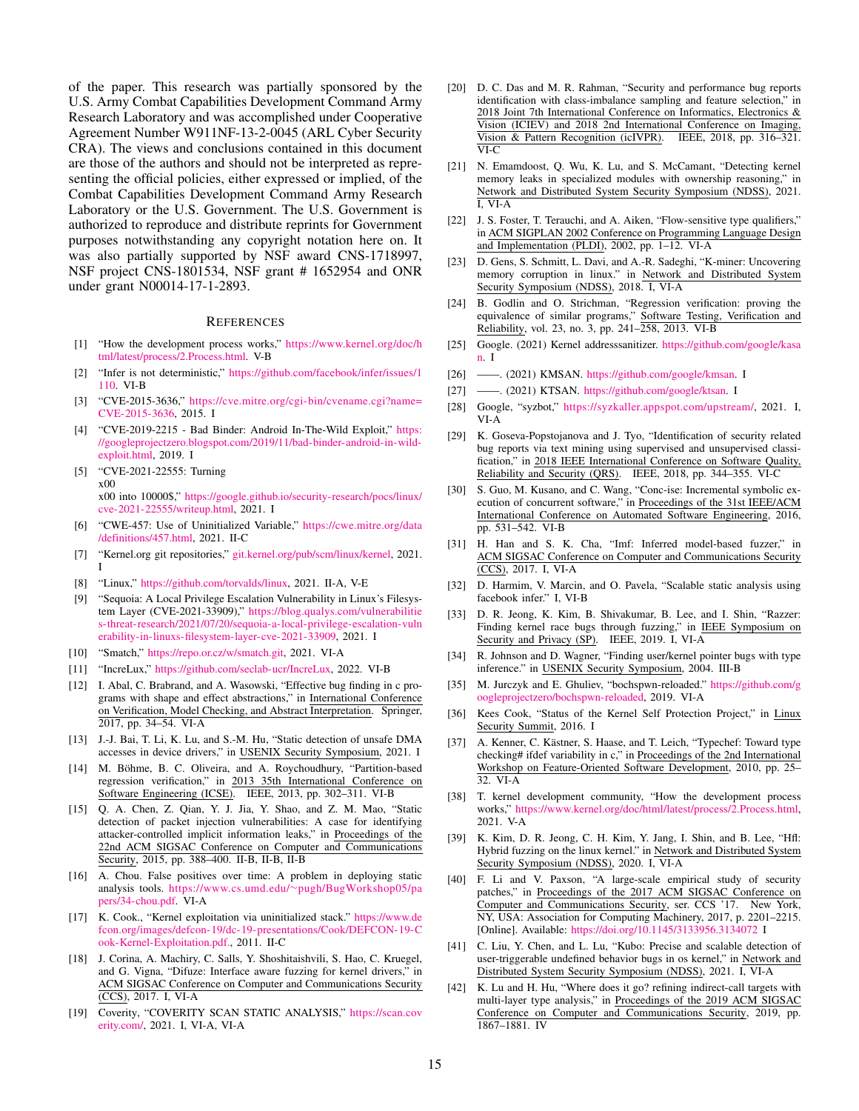of the paper. This research was partially sponsored by the U.S. Army Combat Capabilities Development Command Army Research Laboratory and was accomplished under Cooperative Agreement Number W911NF-13-2-0045 (ARL Cyber Security CRA). The views and conclusions contained in this document are those of the authors and should not be interpreted as representing the official policies, either expressed or implied, of the Combat Capabilities Development Command Army Research Laboratory or the U.S. Government. The U.S. Government is authorized to reproduce and distribute reprints for Government purposes notwithstanding any copyright notation here on. It was also partially supported by NSF award CNS-1718997, NSF project CNS-1801534, NSF grant # 1652954 and ONR under grant N00014-17-1-2893.

## **REFERENCES**

- <span id="page-14-26"></span>[1] "How the development process works," [https://www.kernel.org/doc/h](https://www.kernel.org/doc/html/latest/process/2.Process.html) [tml/latest/process/2.Process.html.](https://www.kernel.org/doc/html/latest/process/2.Process.html) [V-B](#page-7-1)
- <span id="page-14-34"></span>[2] "Infer is not deterministic," [https://github.com/facebook/infer/issues/1](https://github.com/facebook/infer/issues/1110) [110.](https://github.com/facebook/infer/issues/1110) [VI-B](#page-12-0)
- <span id="page-14-3"></span>[3] "CVE-2015-3636," [https://cve.mitre.org/cgi-bin/cvename.cgi?name=](https://cve.mitre.org/cgi-bin/cvename.cgi?name=CVE-2015-3636) [CVE-2015-3636,](https://cve.mitre.org/cgi-bin/cvename.cgi?name=CVE-2015-3636) 2015. [I](#page-0-0)
- [4] "CVE-2019-2215 Bad Binder: Android In-The-Wild Exploit," [https:](https://googleprojectzero.blogspot.com/2019/11/bad-binder-android-in-wild-exploit.html) [//googleprojectzero.blogspot.com/2019/11/bad-binder-android-in-wild](https://googleprojectzero.blogspot.com/2019/11/bad-binder-android-in-wild-exploit.html)[exploit.html,](https://googleprojectzero.blogspot.com/2019/11/bad-binder-android-in-wild-exploit.html) 2019. [I](#page-0-0)
- <span id="page-14-4"></span>[5] "CVE-2021-22555: Turning x00 x00 into 10000\$," [https://google.github.io/security-research/pocs/linux/](https://google.github.io/security-research/pocs/linux/cve-2021-22555/writeup.html) [cve-2021-22555/writeup.html,](https://google.github.io/security-research/pocs/linux/cve-2021-22555/writeup.html) 2021. [I](#page-0-0)
- <span id="page-14-21"></span>[6] "CWE-457: Use of Uninitialized Variable," [https://cwe.mitre.org/data](https://cwe.mitre.org/data/definitions/457.html) [/definitions/457.html,](https://cwe.mitre.org/data/definitions/457.html) 2021. [II-C](#page-2-0)
- <span id="page-14-0"></span>[7] "Kernel.org git repositories," [git.kernel.org/pub/scm/linux/kernel,](git.kernel.org/pub/scm/linux/kernel) 2021. [I](#page-0-0)
- <span id="page-14-19"></span>[8] "Linux," [https://github.com/torvalds/linux,](https://github.com/torvalds/linux) 2021. [II-A,](#page-1-1) [V-E](#page-10-3)
- <span id="page-14-5"></span>[9] "Sequoia: A Local Privilege Escalation Vulnerability in Linux's Filesystem Layer (CVE-2021-33909)," [https://blog.qualys.com/vulnerabilitie](https://blog.qualys.com/vulnerabilities-threat-research/2021/07/20/sequoia-a-local-privilege-escalation-vulnerability-in-linuxs-filesystem-layer-cve-2021-33909) [s-threat-research/2021/07/20/sequoia-a-local-privilege-escalation-vuln](https://blog.qualys.com/vulnerabilities-threat-research/2021/07/20/sequoia-a-local-privilege-escalation-vulnerability-in-linuxs-filesystem-layer-cve-2021-33909) [erability-in-linuxs-filesystem-layer-cve-2021-33909,](https://blog.qualys.com/vulnerabilities-threat-research/2021/07/20/sequoia-a-local-privilege-escalation-vulnerability-in-linuxs-filesystem-layer-cve-2021-33909) 2021. [I](#page-0-0)
- <span id="page-14-29"></span>[10] "Smatch," [https://repo.or.cz/w/smatch.git,](https://repo.or.cz/w/smatch.git) 2021. [VI-A](#page-12-1)
- <span id="page-14-33"></span>[11] "IncreLux," [https://github.com/seclab-ucr/IncreLux,](https://github.com/seclab-ucr/IncreLux) 2022. [VI-B](#page-12-0)
- <span id="page-14-30"></span>[12] I. Abal, C. Brabrand, and A. Wasowski, "Effective bug finding in c programs with shape and effect abstractions," in International Conference on Verification, Model Checking, and Abstract Interpretation. Springer, 2017, pp. 34–54. [VI-A](#page-12-1)
- <span id="page-14-14"></span>[13] J.-J. Bai, T. Li, K. Lu, and S.-M. Hu, "Static detection of unsafe DMA accesses in device drivers," in USENIX Security Symposium, 2021. [I](#page-0-0)
- <span id="page-14-37"></span>[14] M. Böhme, B. C. Oliveira, and A. Roychoudhury, "Partition-based regression verification," in 2013 35th International Conference on Software Engineering (ICSE). IEEE, 2013, pp. 302–311. [VI-B](#page-12-0)
- <span id="page-14-20"></span>[15] Q. A. Chen, Z. Qian, Y. J. Jia, Y. Shao, and Z. M. Mao, "Static detection of packet injection vulnerabilities: A case for identifying attacker-controlled implicit information leaks," in Proceedings of the 22nd ACM SIGSAC Conference on Computer and Communications Security, 2015, pp. 388–400. [II-B,](#page-2-1) [II-B,](#page-2-1) [II-B](#page-2-1)
- <span id="page-14-27"></span>[16] A. Chou. False positives over time: A problem in deploying static analysis tools. https://www.cs.umd.edu/∼[pugh/BugWorkshop05/pa](https://www.cs.umd.edu/~pugh/BugWorkshop05/papers/34-chou.pdf) [pers/34-chou.pdf.](https://www.cs.umd.edu/~pugh/BugWorkshop05/papers/34-chou.pdf) [VI-A](#page-12-1)
- <span id="page-14-22"></span>[17] K. Cook., "Kernel exploitation via uninitialized stack." [https://www.de](https://www.defcon.org/images/defcon-19/dc-19-presentations/Cook/DEFCON-19-Cook-Kernel-Exploitation.pdf.) [fcon.org/images/defcon-19/dc-19-presentations/Cook/DEFCON-19-C](https://www.defcon.org/images/defcon-19/dc-19-presentations/Cook/DEFCON-19-Cook-Kernel-Exploitation.pdf.) [ook-Kernel-Exploitation.pdf.,](https://www.defcon.org/images/defcon-19/dc-19-presentations/Cook/DEFCON-19-Cook-Kernel-Exploitation.pdf.) 2011. [II-C](#page-2-0)
- <span id="page-14-6"></span>[18] J. Corina, A. Machiry, C. Salls, Y. Shoshitaishvili, S. Hao, C. Kruegel, and G. Vigna, "Difuze: Interface aware fuzzing for kernel drivers," in ACM SIGSAC Conference on Computer and Communications Security (CCS), 2017. [I,](#page-0-0) [VI-A](#page-12-1)
- <span id="page-14-13"></span>[19] Coverity, "COVERITY SCAN STATIC ANALYSIS," [https://scan.cov](https://scan.coverity.com/) [erity.com/,](https://scan.coverity.com/) 2021. [I,](#page-0-0) [VI-A,](#page-12-1) [VI-A](#page-12-1)
- <span id="page-14-38"></span>[20] D. C. Das and M. R. Rahman, "Security and performance bug reports identification with class-imbalance sampling and feature selection," in 2018 Joint 7th International Conference on Informatics, Electronics & Vision (ICIEV) and 2018 2nd International Conference on Imaging, Vision & Pattern Recognition (icIVPR). IEEE, 2018, pp. 316–321.  $\overline{\text{VI-}C}$
- <span id="page-14-15"></span>[21] N. Emamdoost, Q. Wu, K. Lu, and S. McCamant, "Detecting kernel memory leaks in specialized modules with ownership reasoning," in Network and Distributed System Security Symposium (NDSS), 2021. [I,](#page-0-0) [VI-A](#page-12-1)
- <span id="page-14-28"></span>[22] J. S. Foster, T. Terauchi, and A. Aiken, "Flow-sensitive type qualifiers," in ACM SIGPLAN 2002 Conference on Programming Language Design and Implementation (PLDI), 2002, pp. 1–12. [VI-A](#page-12-1)
- <span id="page-14-16"></span>[23] D. Gens, S. Schmitt, L. Davi, and A.-R. Sadeghi, "K-miner: Uncovering memory corruption in linux." in Network and Distributed System Security Symposium (NDSS), 2018. [I,](#page-0-0) [VI-A](#page-12-1)
- <span id="page-14-36"></span>[24] B. Godlin and O. Strichman, "Regression verification: proving the equivalence of similar programs," Software Testing, Verification and Reliability, vol. 23, no. 3, pp. 241–258, 2013. [VI-B](#page-12-0)
- <span id="page-14-10"></span>[25] Google. (2021) Kernel addresssanitizer. [https://github.com/google/kasa](https://github.com/google/kasan) [n.](https://github.com/google/kasan) [I](#page-0-0)
- [26] ——. (2021) KMSAN. [https://github.com/google/kmsan.](https://github.com/google/kmsan) [I](#page-0-0)
- <span id="page-14-11"></span>[27] ——. (2021) KTSAN. [https://github.com/google/ktsan.](https://github.com/google/ktsan) [I](#page-0-0)
- <span id="page-14-12"></span>[28] Google, "syzbot," [https://syzkaller.appspot.com/upstream/,](https://syzkaller.appspot.com/upstream/) 2021. [I,](#page-0-0) [VI-A](#page-12-1)
- <span id="page-14-39"></span>[29] K. Goseva-Popstojanova and J. Tyo, "Identification of security related bug reports via text mining using supervised and unsupervised classification," in 2018 IEEE International Conference on Software Quality, Reliability and Security (QRS). IEEE, 2018, pp. 344–355. [VI-C](#page-13-0)
- <span id="page-14-35"></span>[30] S. Guo, M. Kusano, and C. Wang, "Conc-ise: Incremental symbolic execution of concurrent software," in Proceedings of the 31st IEEE/ACM International Conference on Automated Software Engineering, 2016, pp. 531–542. [VI-B](#page-12-0)
- <span id="page-14-7"></span>[31] H. Han and S. K. Cha, "Imf: Inferred model-based fuzzer," in ACM SIGSAC Conference on Computer and Communications Security (CCS), 2017. [I,](#page-0-0) [VI-A](#page-12-1)
- <span id="page-14-18"></span>[32] D. Harmim, V. Marcin, and O. Pavela, "Scalable static analysis using facebook infer." [I,](#page-0-0) [VI-B](#page-12-0)
- <span id="page-14-8"></span>[33] D. R. Jeong, K. Kim, B. Shivakumar, B. Lee, and I. Shin, "Razzer: Finding kernel race bugs through fuzzing," in IEEE Symposium on Security and Privacy (SP). IEEE, 2019. [I,](#page-0-0) [VI-A](#page-12-1)
- <span id="page-14-23"></span>[34] R. Johnson and D. Wagner, "Finding user/kernel pointer bugs with type inference." in USENIX Security Symposium, 2004. [III-B](#page-4-1)
- <span id="page-14-32"></span>[35] M. Jurczyk and E. Ghuliev, "bochspwn-reloaded." [https://github.com/g](https://github.com/googleprojectzero/bochspwn-reloaded) [oogleprojectzero/bochspwn-reloaded,](https://github.com/googleprojectzero/bochspwn-reloaded) 2019. [VI-A](#page-12-1)
- <span id="page-14-1"></span>[36] Kees Cook, "Status of the Kernel Self Protection Project," in Linux Security Summit, 2016. [I](#page-0-0)
- <span id="page-14-31"></span>[37] A. Kenner, C. Kästner, S. Haase, and T. Leich, "Typechef: Toward type checking# ifdef variability in c," in Proceedings of the 2nd International Workshop on Feature-Oriented Software Development, 2010, pp. 25– 32. [VI-A](#page-12-1)
- <span id="page-14-25"></span>[38] T. kernel development community, "How the development process works," [https://www.kernel.org/doc/html/latest/process/2.Process.html,](https://www.kernel.org/doc/html/latest/process/2.Process.html) 2021. [V-A](#page-7-2)
- <span id="page-14-9"></span>[39] K. Kim, D. R. Jeong, C. H. Kim, Y. Jang, I. Shin, and B. Lee, "Hfl: Hybrid fuzzing on the linux kernel." in Network and Distributed System Security Symposium (NDSS), 2020. [I,](#page-0-0) [VI-A](#page-12-1)
- <span id="page-14-2"></span>[40] F. Li and V. Paxson, "A large-scale empirical study of security patches," in Proceedings of the 2017 ACM SIGSAC Conference on Computer and Communications Security, ser. CCS '17. New York, NY, USA: Association for Computing Machinery, 2017, p. 2201–2215. [Online]. Available: <https://doi.org/10.1145/3133956.3134072> [I](#page-0-0)
- <span id="page-14-17"></span>[41] C. Liu, Y. Chen, and L. Lu, "Kubo: Precise and scalable detection of user-triggerable undefined behavior bugs in os kernel," in Network and Distributed System Security Symposium (NDSS), 2021. [I,](#page-0-0) [VI-A](#page-12-1)
- <span id="page-14-24"></span>[42] K. Lu and H. Hu, "Where does it go? refining indirect-call targets with multi-layer type analysis," in Proceedings of the 2019 ACM SIGSAC Conference on Computer and Communications Security, 2019, pp. 1867–1881. [IV](#page-6-1)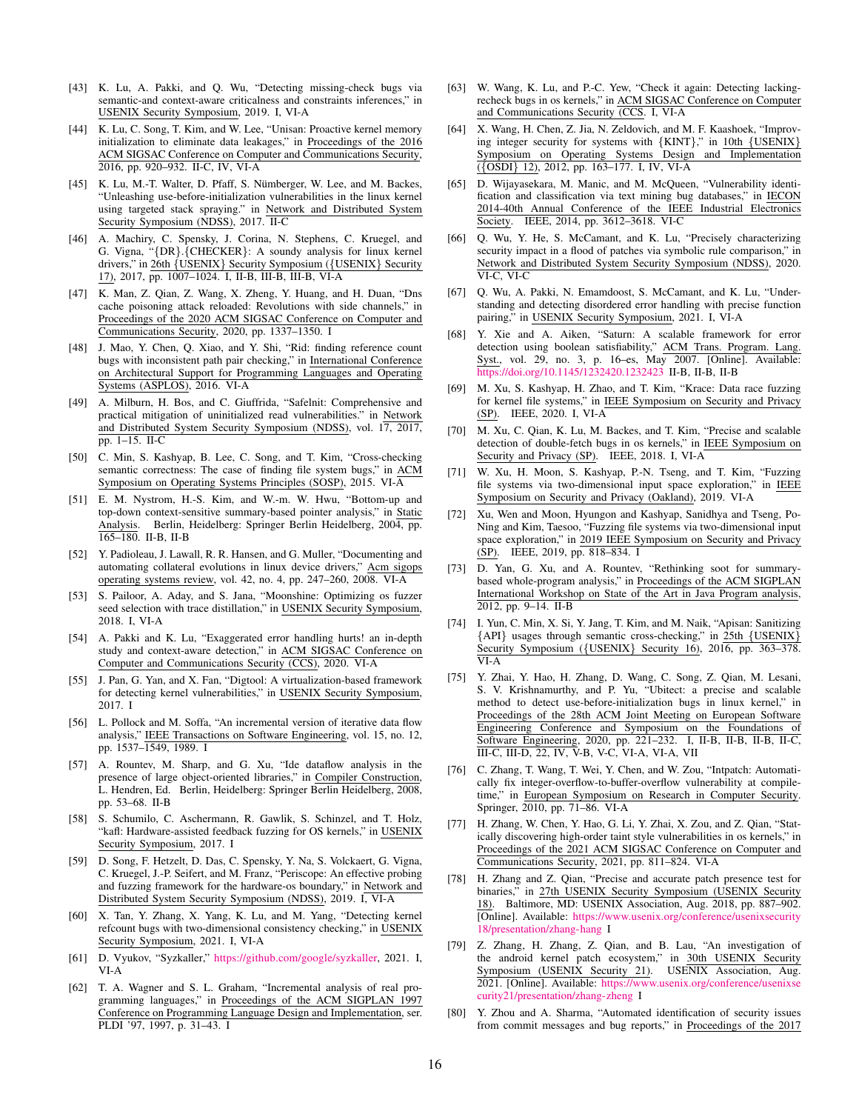- <span id="page-15-9"></span>[43] K. Lu, A. Pakki, and Q. Wu, "Detecting missing-check bugs via semantic-and context-aware criticalness and constraints inferences," in USENIX Security Symposium, 2019. [I,](#page-0-0) [VI-A](#page-12-1)
- <span id="page-15-24"></span>[44] K. Lu, C. Song, T. Kim, and W. Lee, "Unisan: Proactive kernel memory initialization to eliminate data leakages," in Proceedings of the 2016 ACM SIGSAC Conference on Computer and Communications Security, 2016, pp. 920–932. [II-C,](#page-2-0) [IV,](#page-6-1) [VI-A](#page-12-1)
- <span id="page-15-26"></span>[45] K. Lu, M.-T. Walter, D. Pfaff, S. Nümberger, W. Lee, and M. Backes, "Unleashing use-before-initialization vulnerabilities in the linux kernel using targeted stack spraying." in Network and Distributed System Security Symposium (NDSS), 2017. [II-C](#page-2-0)
- <span id="page-15-10"></span>[46] A. Machiry, C. Spensky, J. Corina, N. Stephens, C. Kruegel, and G. Vigna, "{DR}.{CHECKER}: A soundy analysis for linux kernel drivers," in 26th {USENIX} Security Symposium ({USENIX} Security 17), 2017, pp. 1007–1024. [I,](#page-0-0) [II-B,](#page-2-1) [III-B,](#page-4-1) [III-B,](#page-4-1) [VI-A](#page-12-1)
- <span id="page-15-2"></span>[47] K. Man, Z. Qian, Z. Wang, X. Zheng, Y. Huang, and H. Duan, "Dns cache poisoning attack reloaded: Revolutions with side channels," in Proceedings of the 2020 ACM SIGSAC Conference on Computer and Communications Security, 2020, pp. 1337–1350. [I](#page-0-0)
- <span id="page-15-28"></span>[48] J. Mao, Y. Chen, Q. Xiao, and Y. Shi, "Rid: finding reference count bugs with inconsistent path pair checking," in International Conference on Architectural Support for Programming Languages and Operating Systems (ASPLOS), 2016. [VI-A](#page-12-1)
- <span id="page-15-25"></span>[49] A. Milburn, H. Bos, and C. Giuffrida, "Safelnit: Comprehensive and practical mitigation of uninitialized read vulnerabilities." in Network and Distributed System Security Symposium (NDSS), vol. 17, 2017, pp. 1–15. [II-C](#page-2-0)
- <span id="page-15-27"></span>[50] C. Min, S. Kashyap, B. Lee, C. Song, and T. Kim, "Cross-checking semantic correctness: The case of finding file system bugs," in ACM Symposium on Operating Systems Principles (SOSP), 2015. [VI-A](#page-12-1)
- <span id="page-15-22"></span>[51] E. M. Nystrom, H.-S. Kim, and W.-m. W. Hwu, "Bottom-up and top-down context-sensitive summary-based pointer analysis," in Static Analysis. Berlin, Heidelberg: Springer Berlin Heidelberg, 2004, pp. 165–180. [II-B,](#page-2-1) [II-B](#page-2-1)
- <span id="page-15-32"></span>[52] Y. Padioleau, J. Lawall, R. R. Hansen, and G. Muller, "Documenting and automating collateral evolutions in linux device drivers," Acm sigops operating systems review, vol. 42, no. 4, pp. 247–260, 2008. [VI-A](#page-12-1)
- <span id="page-15-3"></span>[53] S. Pailoor, A. Aday, and S. Jana, "Moonshine: Optimizing os fuzzer seed selection with trace distillation," in USENIX Security Symposium, 2018. [I,](#page-0-0) [VI-A](#page-12-1)
- <span id="page-15-29"></span>[54] A. Pakki and K. Lu, "Exaggerated error handling hurts! an in-depth study and context-aware detection," in ACM SIGSAC Conference on Computer and Communications Security (CCS), 2020. [VI-A](#page-12-1)
- <span id="page-15-4"></span>[55] J. Pan, G. Yan, and X. Fan, "Digtool: A virtualization-based framework for detecting kernel vulnerabilities," in USENIX Security Symposium, 2017. [I](#page-0-0)
- <span id="page-15-18"></span>[56] L. Pollock and M. Soffa, "An incremental version of iterative data flow analysis," IEEE Transactions on Software Engineering, vol. 15, no. 12, pp. 1537–1549, 1989. [I](#page-0-0)
- <span id="page-15-20"></span>[57] A. Rountev, M. Sharp, and G. Xu, "Ide dataflow analysis in the presence of large object-oriented libraries," in Compiler Construction, L. Hendren, Ed. Berlin, Heidelberg: Springer Berlin Heidelberg, 2008, pp. 53–68. [II-B](#page-2-1)
- <span id="page-15-5"></span>[58] S. Schumilo, C. Aschermann, R. Gawlik, S. Schinzel, and T. Holz, "kafl: Hardware-assisted feedback fuzzing for OS kernels," in USENIX Security Symposium, 2017. [I](#page-0-0)
- <span id="page-15-6"></span>[59] D. Song, F. Hetzelt, D. Das, C. Spensky, Y. Na, S. Volckaert, G. Vigna, C. Kruegel, J.-P. Seifert, and M. Franz, "Periscope: An effective probing and fuzzing framework for the hardware-os boundary," in Network and Distributed System Security Symposium (NDSS), 2019. [I,](#page-0-0) [VI-A](#page-12-1)
- <span id="page-15-11"></span>[60] X. Tan, Y. Zhang, X. Yang, K. Lu, and M. Yang, "Detecting kernel refcount bugs with two-dimensional consistency checking," in USENIX Security Symposium, 2021. [I,](#page-0-0) [VI-A](#page-12-1)
- <span id="page-15-7"></span>[61] D. Vyukov, "Syzkaller," [https://github.com/google/syzkaller,](https://github.com/google/syzkaller) 2021. [I,](#page-0-0) [VI-A](#page-12-1)
- <span id="page-15-19"></span>[62] T. A. Wagner and S. L. Graham, "Incremental analysis of real programming languages," in Proceedings of the ACM SIGPLAN 1997 Conference on Programming Language Design and Implementation, ser. PLDI '97, 1997, p. 31–43. [I](#page-0-0)
- <span id="page-15-12"></span>[63] W. Wang, K. Lu, and P.-C. Yew, "Check it again: Detecting lackingrecheck bugs in os kernels," in ACM SIGSAC Conference on Computer and Communications Security (CCS. [I,](#page-0-0) [VI-A](#page-12-1)
- <span id="page-15-13"></span>[64] X. Wang, H. Chen, Z. Jia, N. Zeldovich, and M. F. Kaashoek, "Improving integer security for systems with {KINT}," in 10th {USENIX} Symposium on Operating Systems Design and Implementation ({OSDI} 12), 2012, pp. 163–177. [I,](#page-0-0) [IV,](#page-6-1) [VI-A](#page-12-1)
- <span id="page-15-36"></span>[65] D. Wijayasekara, M. Manic, and M. McQueen, "Vulnerability identification and classification via text mining bug databases," in IECON 2014-40th Annual Conference of the IEEE Industrial Electronics Society. IEEE, 2014, pp. 3612–3618. [VI-C](#page-13-0)
- <span id="page-15-37"></span>[66] Q. Wu, Y. He, S. McCamant, and K. Lu, "Precisely characterizing security impact in a flood of patches via symbolic rule comparison," in Network and Distributed System Security Symposium (NDSS), 2020. [VI-C,](#page-13-0) [VI-C](#page-13-0)
- <span id="page-15-14"></span>[67] Q. Wu, A. Pakki, N. Emamdoost, S. McCamant, and K. Lu, "Understanding and detecting disordered error handling with precise function pairing," in USENIX Security Symposium, 2021. [I,](#page-0-0) [VI-A](#page-12-1)
- <span id="page-15-23"></span>[68] Y. Xie and A. Aiken, "Saturn: A scalable framework for error detection using boolean satisfiability," ACM Trans. Program. Lang. Syst., vol. 29, no. 3, p. 16–es, May 2007. [Online]. Available: <https://doi.org/10.1145/1232420.1232423> [II-B,](#page-2-1) [II-B,](#page-2-1) [II-B](#page-2-1)
- <span id="page-15-8"></span>[69] M. Xu, S. Kashyap, H. Zhao, and T. Kim, "Krace: Data race fuzzing for kernel file systems," in IEEE Symposium on Security and Privacy (SP). IEEE, 2020. [I,](#page-0-0) [VI-A](#page-12-1)
- <span id="page-15-15"></span>[70] M. Xu, C. Qian, K. Lu, M. Backes, and T. Kim, "Precise and scalable detection of double-fetch bugs in os kernels," in IEEE Symposium on Security and Privacy (SP). IEEE, 2018. [I,](#page-0-0) [VI-A](#page-12-1)
- <span id="page-15-34"></span>[71] W. Xu, H. Moon, S. Kashyap, P.-N. Tseng, and T. Kim, "Fuzzing file systems via two-dimensional input space exploration," in IEEE Symposium on Security and Privacy (Oakland), 2019. [VI-A](#page-12-1)
- <span id="page-15-16"></span>[72] Xu, Wen and Moon, Hyungon and Kashyap, Sanidhya and Tseng, Po-Ning and Kim, Taesoo, "Fuzzing file systems via two-dimensional input space exploration," in 2019 IEEE Symposium on Security and Privacy (SP). IEEE, 2019, pp. 818–834. [I](#page-0-0)
- <span id="page-15-21"></span>[73] D. Yan, G. Xu, and A. Rountev, "Rethinking soot for summarybased whole-program analysis," in Proceedings of the ACM SIGPLAN International Workshop on State of the Art in Java Program analysis, 2012, pp. 9–14. [II-B](#page-2-1)
- <span id="page-15-33"></span>[74] I. Yun, C. Min, X. Si, Y. Jang, T. Kim, and M. Naik, "Apisan: Sanitizing {API} usages through semantic cross-checking," in 25th {USENIX} Security Symposium ({USENIX} Security 16), 2016, pp. 363-378. [VI-A](#page-12-1)
- <span id="page-15-17"></span>[75] Y. Zhai, Y. Hao, H. Zhang, D. Wang, C. Song, Z. Qian, M. Lesani, S. V. Krishnamurthy, and P. Yu, "Ubitect: a precise and scalable method to detect use-before-initialization bugs in linux kernel," in Proceedings of the 28th ACM Joint Meeting on European Software Engineering Conference and Symposium on the Foundations of Software Engineering, 2020, pp. 221–232. [I,](#page-0-0) [II-B,](#page-2-1) [II-B,](#page-2-1) [II-B,](#page-2-1) [II-C,](#page-2-0) [III-C,](#page-6-0) [III-D,](#page-5-1) [22,](#page-5-0) [IV,](#page-6-1) [V-B,](#page-10-0) [V-C,](#page-8-1) [VI-A,](#page-12-1) [VI-A,](#page-12-1) [VII](#page-13-1)
- <span id="page-15-31"></span>[76] C. Zhang, T. Wang, T. Wei, Y. Chen, and W. Zou, "Intpatch: Automatically fix integer-overflow-to-buffer-overflow vulnerability at compiletime," in European Symposium on Research in Computer Security. Springer, 2010, pp. 71–86. [VI-A](#page-12-1)
- <span id="page-15-30"></span>[77] H. Zhang, W. Chen, Y. Hao, G. Li, Y. Zhai, X. Zou, and Z. Qian, "Statically discovering high-order taint style vulnerabilities in os kernels," in Proceedings of the 2021 ACM SIGSAC Conference on Computer and Communications Security, 2021, pp. 811–824. [VI-A](#page-12-1)
- <span id="page-15-0"></span>[78] H. Zhang and Z. Qian, "Precise and accurate patch presence test for binaries," in 27th USENIX Security Symposium (USENIX Security 18). Baltimore, MD: USENIX Association, Aug. 2018, pp. 887–902. [Online]. Available: [https://www.usenix.org/conference/usenixsecurity](https://www.usenix.org/conference/usenixsecurity18/presentation/zhang-hang) [18/presentation/zhang-hang](https://www.usenix.org/conference/usenixsecurity18/presentation/zhang-hang) [I](#page-0-0)
- <span id="page-15-1"></span>[79] Z. Zhang, H. Zhang, Z. Qian, and B. Lau, "An investigation of the android kernel patch ecosystem," in 30th USENIX Security Symposium (USENIX Security 21). USENIX Association, Aug. 2021. [Online]. Available: [https://www.usenix.org/conference/usenixse](https://www.usenix.org/conference/usenixsecurity21/presentation/zhang-zheng) [curity21/presentation/zhang-zheng](https://www.usenix.org/conference/usenixsecurity21/presentation/zhang-zheng) [I](#page-0-0)
- <span id="page-15-35"></span>[80] Y. Zhou and A. Sharma, "Automated identification of security issues from commit messages and bug reports," in Proceedings of the 2017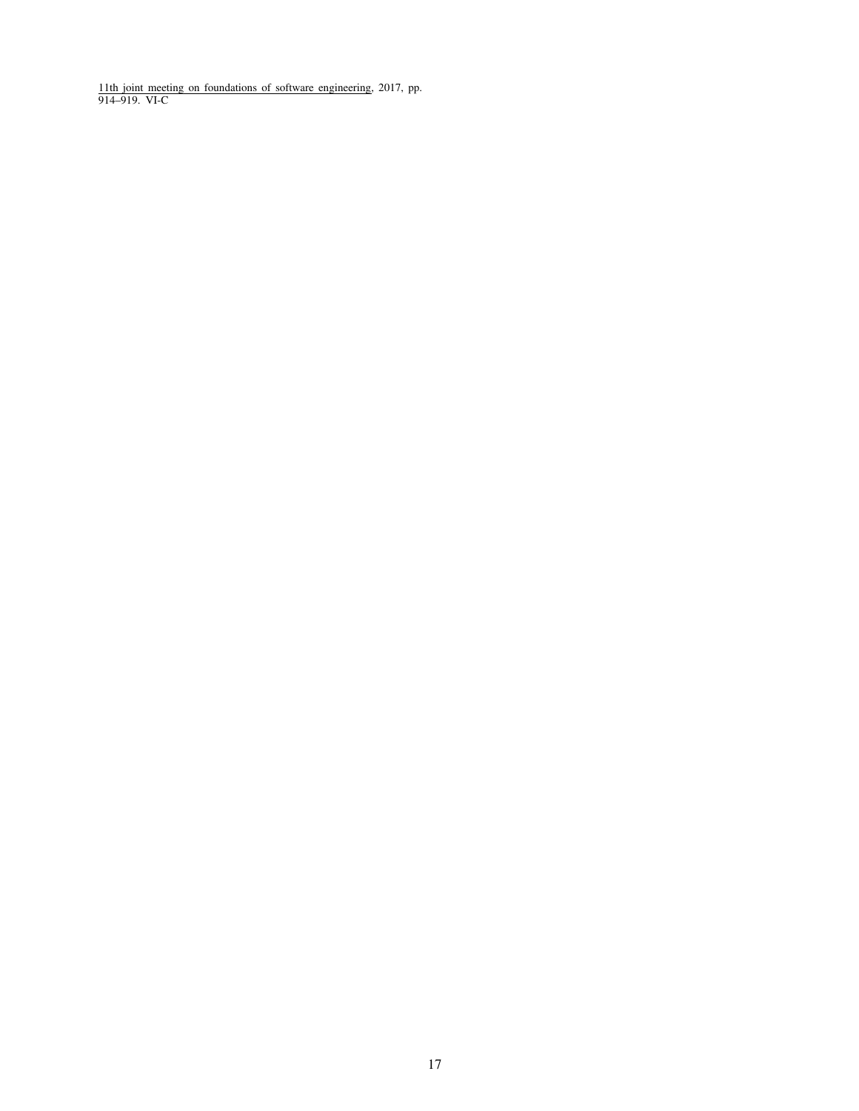<span id="page-16-0"></span>11th joint meeting on foundations of software engineering, 2017, pp. 914–919. [VI-C](#page-13-0)